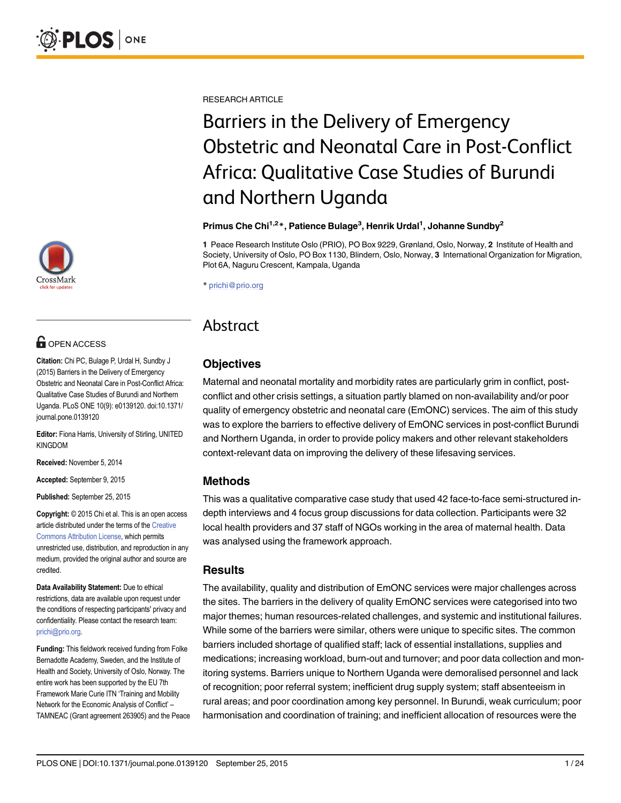# **OPEN ACCESS**

Citation: Chi PC, Bulage P, Urdal H, Sundby J (2015) Barriers in the Delivery of Emergency Obstetric and Neonatal Care in Post-Conflict Africa: Qualitative Case Studies of Burundi and Northern Uganda. PLoS ONE 10(9): e0139120. doi:10.1371/ journal.pone.0139120

Editor: Fiona Harris, University of Stirling, UNITED KINGDOM

Received: November 5, 2014

Accepted: September 9, 2015

Published: September 25, 2015

Copyright: © 2015 Chi et al. This is an open access article distributed under the terms of the [Creative](http://creativecommons.org/licenses/by/4.0/) [Commons Attribution License](http://creativecommons.org/licenses/by/4.0/), which permits unrestricted use, distribution, and reproduction in any medium, provided the original author and source are credited.

Data Availability Statement: Due to ethical restrictions, data are available upon request under the conditions of respecting participants' privacy and confidentiality. Please contact the research team: prichi@prio.org.

Funding: This fieldwork received funding from Folke Bernadotte Academy, Sweden, and the Institute of Health and Society, University of Oslo, Norway. The entire work has been supported by the EU 7th Framework Marie Curie ITN 'Training and Mobility Network for the Economic Analysis of Conflict' – TAMNEAC (Grant agreement 263905) and the Peace RESEARCH ARTICLE

# Barriers in the Delivery of Emergency Obstetric and Neonatal Care in Post-Conflict Africa: Qualitative Case Studies of Burundi and Northern Uganda

#### Primus Che Chi<sup>1,2</sup>\*, Patience Bulage<sup>3</sup>, Henrik Urdal<sup>1</sup>, Johanne Sundby<sup>2</sup>

1 Peace Research Institute Oslo (PRIO), PO Box 9229, Grønland, Oslo, Norway, 2 Institute of Health and Society, University of Oslo, PO Box 1130, Blindern, Oslo, Norway, 3 International Organization for Migration, Plot 6A, Naguru Crescent, Kampala, Uganda

\* prichi@prio.org

# Abstract

# **Objectives**

Maternal and neonatal mortality and morbidity rates are particularly grim in conflict, postconflict and other crisis settings, a situation partly blamed on non-availability and/or poor quality of emergency obstetric and neonatal care (EmONC) services. The aim of this study was to explore the barriers to effective delivery of EmONC services in post-conflict Burundi and Northern Uganda, in order to provide policy makers and other relevant stakeholders context-relevant data on improving the delivery of these lifesaving services.

#### Methods

This was a qualitative comparative case study that used 42 face-to-face semi-structured indepth interviews and 4 focus group discussions for data collection. Participants were 32 local health providers and 37 staff of NGOs working in the area of maternal health. Data was analysed using the framework approach.

#### Results

The availability, quality and distribution of EmONC services were major challenges across the sites. The barriers in the delivery of quality EmONC services were categorised into two major themes; human resources-related challenges, and systemic and institutional failures. While some of the barriers were similar, others were unique to specific sites. The common barriers included shortage of qualified staff; lack of essential installations, supplies and medications; increasing workload, burn-out and turnover; and poor data collection and monitoring systems. Barriers unique to Northern Uganda were demoralised personnel and lack of recognition; poor referral system; inefficient drug supply system; staff absenteeism in rural areas; and poor coordination among key personnel. In Burundi, weak curriculum; poor harmonisation and coordination of training; and inefficient allocation of resources were the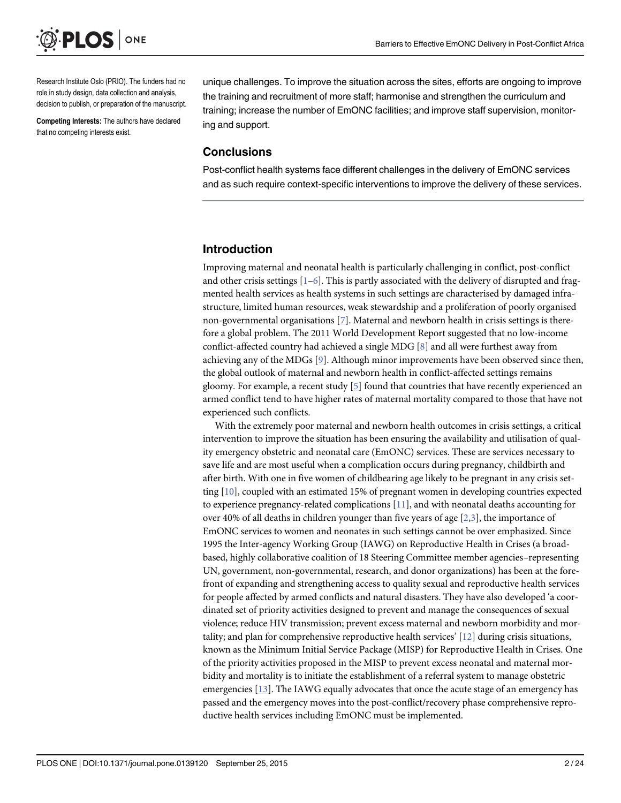<span id="page-1-0"></span>

Research Institute Oslo (PRIO). The funders had no role in study design, data collection and analysis, decision to publish, or preparation of the manuscript.

Competing Interests: The authors have declared that no competing interests exist.

unique challenges. To improve the situation across the sites, efforts are ongoing to improve the training and recruitment of more staff; harmonise and strengthen the curriculum and training; increase the number of EmONC facilities; and improve staff supervision, monitoring and support.

#### **Conclusions**

Post-conflict health systems face different challenges in the delivery of EmONC services and as such require context-specific interventions to improve the delivery of these services.

#### Introduction

Improving maternal and neonatal health is particularly challenging in conflict, post-conflict and other crisis settings  $[1-6]$  $[1-6]$  $[1-6]$  $[1-6]$ . This is partly associated with the delivery of disrupted and fragmented health services as health systems in such settings are characterised by damaged infrastructure, limited human resources, weak stewardship and a proliferation of poorly organised non-governmental organisations [[7](#page-21-0)]. Maternal and newborn health in crisis settings is therefore a global problem. The 2011 World Development Report suggested that no low-income conflict-affected country had achieved a single MDG  $[8]$  $[8]$  and all were furthest away from achieving any of the MDGs  $[9]$  $[9]$ . Although minor improvements have been observed since then, the global outlook of maternal and newborn health in conflict-affected settings remains gloomy. For example, a recent study [[5](#page-21-0)] found that countries that have recently experienced an armed conflict tend to have higher rates of maternal mortality compared to those that have not experienced such conflicts.

With the extremely poor maternal and newborn health outcomes in crisis settings, a critical intervention to improve the situation has been ensuring the availability and utilisation of quality emergency obstetric and neonatal care (EmONC) services. These are services necessary to save life and are most useful when a complication occurs during pregnancy, childbirth and after birth. With one in five women of childbearing age likely to be pregnant in any crisis setting [\[10\]](#page-21-0), coupled with an estimated 15% of pregnant women in developing countries expected to experience pregnancy-related complications  $[11]$  $[11]$  $[11]$ , and with neonatal deaths accounting for over 40% of all deaths in children younger than five years of age  $[2,3]$  $[2,3]$  $[2,3]$ , the importance of EmONC services to women and neonates in such settings cannot be over emphasized. Since 1995 the Inter-agency Working Group (IAWG) on Reproductive Health in Crises (a broadbased, highly collaborative coalition of 18 Steering Committee member agencies–representing UN, government, non-governmental, research, and donor organizations) has been at the forefront of expanding and strengthening access to quality sexual and reproductive health services for people affected by armed conflicts and natural disasters. They have also developed 'a coordinated set of priority activities designed to prevent and manage the consequences of sexual violence; reduce HIV transmission; prevent excess maternal and newborn morbidity and mortality; and plan for comprehensive reproductive health services'  $[12]$  $[12]$  during crisis situations, known as the Minimum Initial Service Package (MISP) for Reproductive Health in Crises. One of the priority activities proposed in the MISP to prevent excess neonatal and maternal morbidity and mortality is to initiate the establishment of a referral system to manage obstetric emergencies [[13](#page-21-0)]. The IAWG equally advocates that once the acute stage of an emergency has passed and the emergency moves into the post-conflict/recovery phase comprehensive reproductive health services including EmONC must be implemented.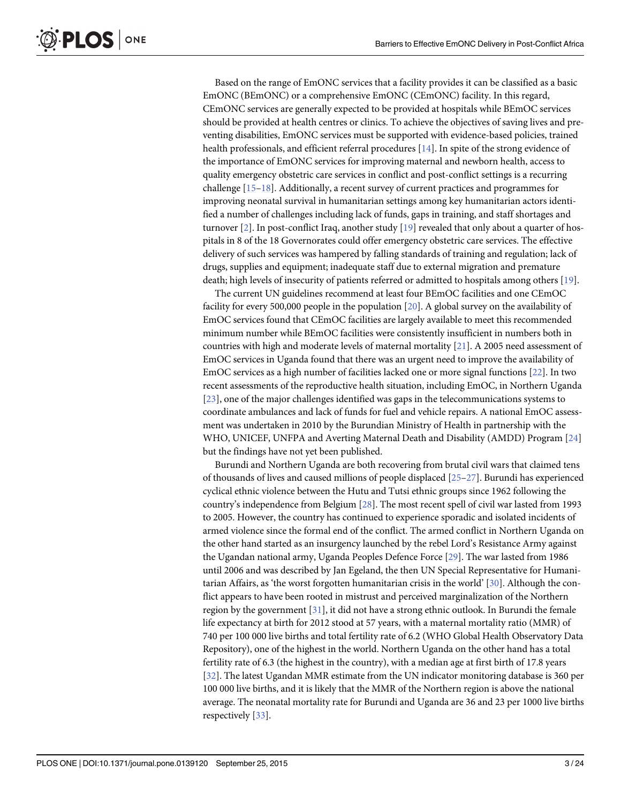Based on the range of EmONC services that a facility provides it can be classified as a basic EmONC (BEmONC) or a comprehensive EmONC (CEmONC) facility. In this regard, CEmONC services are generally expected to be provided at hospitals while BEmOC services should be provided at health centres or clinics. To achieve the objectives of saving lives and preventing disabilities, EmONC services must be supported with evidence-based policies, trained health professionals, and efficient referral procedures [[14](#page-21-0)]. In spite of the strong evidence of the importance of EmONC services for improving maternal and newborn health, access to quality emergency obstetric care services in conflict and post-conflict settings is a recurring challenge [[15](#page-21-0)–[18](#page-21-0)]. Additionally, a recent survey of current practices and programmes for improving neonatal survival in humanitarian settings among key humanitarian actors identified a number of challenges including lack of funds, gaps in training, and staff shortages and turnover  $[2]$  $[2]$ . In post-conflict Iraq, another study  $[19]$  $[19]$  $[19]$  revealed that only about a quarter of hospitals in 8 of the 18 Governorates could offer emergency obstetric care services. The effective delivery of such services was hampered by falling standards of training and regulation; lack of drugs, supplies and equipment; inadequate staff due to external migration and premature death; high levels of insecurity of patients referred or admitted to hospitals among others [\[19\]](#page-21-0).

The current UN guidelines recommend at least four BEmOC facilities and one CEmOC facility for every 500,000 people in the population [[20\]](#page-21-0). A global survey on the availability of EmOC services found that CEmOC facilities are largely available to meet this recommended minimum number while BEmOC facilities were consistently insufficient in numbers both in countries with high and moderate levels of maternal mortality [[21](#page-21-0)]. A 2005 need assessment of EmOC services in Uganda found that there was an urgent need to improve the availability of EmOC services as a high number of facilities lacked one or more signal functions [\[22\]](#page-21-0). In two recent assessments of the reproductive health situation, including EmOC, in Northern Uganda [\[23](#page-21-0)], one of the major challenges identified was gaps in the telecommunications systems to coordinate ambulances and lack of funds for fuel and vehicle repairs. A national EmOC assessment was undertaken in 2010 by the Burundian Ministry of Health in partnership with the WHO, UNICEF, UNFPA and Averting Maternal Death and Disability (AMDD) Program [[24](#page-21-0)] but the findings have not yet been published.

Burundi and Northern Uganda are both recovering from brutal civil wars that claimed tens of thousands of lives and caused millions of people displaced [\[25](#page-22-0)–[27\]](#page-22-0). Burundi has experienced cyclical ethnic violence between the Hutu and Tutsi ethnic groups since 1962 following the country's independence from Belgium [\[28\]](#page-22-0). The most recent spell of civil war lasted from 1993 to 2005. However, the country has continued to experience sporadic and isolated incidents of armed violence since the formal end of the conflict. The armed conflict in Northern Uganda on the other hand started as an insurgency launched by the rebel Lord's Resistance Army against the Ugandan national army, Uganda Peoples Defence Force [\[29\]](#page-22-0). The war lasted from 1986 until 2006 and was described by Jan Egeland, the then UN Special Representative for Humanitarian Affairs, as 'the worst forgotten humanitarian crisis in the world' [[30](#page-22-0)]. Although the conflict appears to have been rooted in mistrust and perceived marginalization of the Northern region by the government [[31\]](#page-22-0), it did not have a strong ethnic outlook. In Burundi the female life expectancy at birth for 2012 stood at 57 years, with a maternal mortality ratio (MMR) of 740 per 100 000 live births and total fertility rate of 6.2 (WHO Global Health Observatory Data Repository), one of the highest in the world. Northern Uganda on the other hand has a total fertility rate of 6.3 (the highest in the country), with a median age at first birth of 17.8 years [\[32](#page-22-0)]. The latest Ugandan MMR estimate from the UN indicator monitoring database is 360 per 100 000 live births, and it is likely that the MMR of the Northern region is above the national average. The neonatal mortality rate for Burundi and Uganda are 36 and 23 per 1000 live births respectively [\[33\]](#page-22-0).

<span id="page-2-0"></span>**PLOS** I

ONE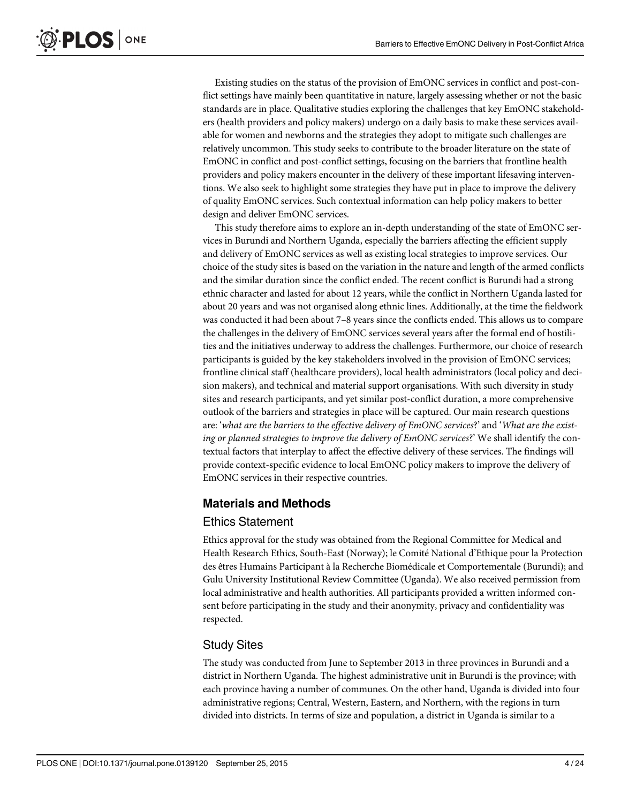Existing studies on the status of the provision of EmONC services in conflict and post-conflict settings have mainly been quantitative in nature, largely assessing whether or not the basic standards are in place. Qualitative studies exploring the challenges that key EmONC stakeholders (health providers and policy makers) undergo on a daily basis to make these services available for women and newborns and the strategies they adopt to mitigate such challenges are relatively uncommon. This study seeks to contribute to the broader literature on the state of EmONC in conflict and post-conflict settings, focusing on the barriers that frontline health providers and policy makers encounter in the delivery of these important lifesaving interventions. We also seek to highlight some strategies they have put in place to improve the delivery of quality EmONC services. Such contextual information can help policy makers to better design and deliver EmONC services.

This study therefore aims to explore an in-depth understanding of the state of EmONC services in Burundi and Northern Uganda, especially the barriers affecting the efficient supply and delivery of EmONC services as well as existing local strategies to improve services. Our choice of the study sites is based on the variation in the nature and length of the armed conflicts and the similar duration since the conflict ended. The recent conflict is Burundi had a strong ethnic character and lasted for about 12 years, while the conflict in Northern Uganda lasted for about 20 years and was not organised along ethnic lines. Additionally, at the time the fieldwork was conducted it had been about 7–8 years since the conflicts ended. This allows us to compare the challenges in the delivery of EmONC services several years after the formal end of hostilities and the initiatives underway to address the challenges. Furthermore, our choice of research participants is guided by the key stakeholders involved in the provision of EmONC services; frontline clinical staff (healthcare providers), local health administrators (local policy and decision makers), and technical and material support organisations. With such diversity in study sites and research participants, and yet similar post-conflict duration, a more comprehensive outlook of the barriers and strategies in place will be captured. Our main research questions are: 'what are the barriers to the effective delivery of EmONC services?' and 'What are the existing or planned strategies to improve the delivery of EmONC services?' We shall identify the contextual factors that interplay to affect the effective delivery of these services. The findings will provide context-specific evidence to local EmONC policy makers to improve the delivery of EmONC services in their respective countries.

#### Materials and Methods

#### Ethics Statement

Ethics approval for the study was obtained from the Regional Committee for Medical and Health Research Ethics, South-East (Norway); le Comité National d'Ethique pour la Protection des êtres Humains Participant à la Recherche Biomédicale et Comportementale (Burundi); and Gulu University Institutional Review Committee (Uganda). We also received permission from local administrative and health authorities. All participants provided a written informed consent before participating in the study and their anonymity, privacy and confidentiality was respected.

#### Study Sites

The study was conducted from June to September 2013 in three provinces in Burundi and a district in Northern Uganda. The highest administrative unit in Burundi is the province; with each province having a number of communes. On the other hand, Uganda is divided into four administrative regions; Central, Western, Eastern, and Northern, with the regions in turn divided into districts. In terms of size and population, a district in Uganda is similar to a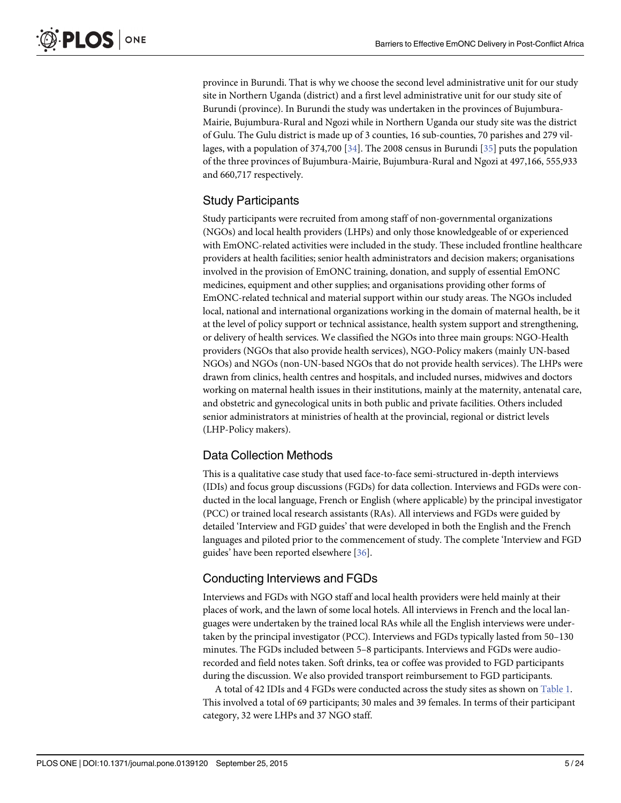<span id="page-4-0"></span>province in Burundi. That is why we choose the second level administrative unit for our study site in Northern Uganda (district) and a first level administrative unit for our study site of Burundi (province). In Burundi the study was undertaken in the provinces of Bujumbura-Mairie, Bujumbura-Rural and Ngozi while in Northern Uganda our study site was the district of Gulu. The Gulu district is made up of 3 counties, 16 sub-counties, 70 parishes and 279 vil-lages, with a population of 374,700 [[34](#page-22-0)]. The 2008 census in Burundi [[35](#page-22-0)] puts the population of the three provinces of Bujumbura-Mairie, Bujumbura-Rural and Ngozi at 497,166, 555,933 and 660,717 respectively.

#### Study Participants

Study participants were recruited from among staff of non-governmental organizations (NGOs) and local health providers (LHPs) and only those knowledgeable of or experienced with EmONC-related activities were included in the study. These included frontline healthcare providers at health facilities; senior health administrators and decision makers; organisations involved in the provision of EmONC training, donation, and supply of essential EmONC medicines, equipment and other supplies; and organisations providing other forms of EmONC-related technical and material support within our study areas. The NGOs included local, national and international organizations working in the domain of maternal health, be it at the level of policy support or technical assistance, health system support and strengthening, or delivery of health services. We classified the NGOs into three main groups: NGO-Health providers (NGOs that also provide health services), NGO-Policy makers (mainly UN-based NGOs) and NGOs (non-UN-based NGOs that do not provide health services). The LHPs were drawn from clinics, health centres and hospitals, and included nurses, midwives and doctors working on maternal health issues in their institutions, mainly at the maternity, antenatal care, and obstetric and gynecological units in both public and private facilities. Others included senior administrators at ministries of health at the provincial, regional or district levels (LHP-Policy makers).

## Data Collection Methods

This is a qualitative case study that used face-to-face semi-structured in-depth interviews (IDIs) and focus group discussions (FGDs) for data collection. Interviews and FGDs were conducted in the local language, French or English (where applicable) by the principal investigator (PCC) or trained local research assistants (RAs). All interviews and FGDs were guided by detailed 'Interview and FGD guides' that were developed in both the English and the French languages and piloted prior to the commencement of study. The complete 'Interview and FGD guides' have been reported elsewhere [[36\]](#page-22-0).

## Conducting Interviews and FGDs

Interviews and FGDs with NGO staff and local health providers were held mainly at their places of work, and the lawn of some local hotels. All interviews in French and the local languages were undertaken by the trained local RAs while all the English interviews were undertaken by the principal investigator (PCC). Interviews and FGDs typically lasted from 50–130 minutes. The FGDs included between 5–8 participants. Interviews and FGDs were audiorecorded and field notes taken. Soft drinks, tea or coffee was provided to FGD participants during the discussion. We also provided transport reimbursement to FGD participants.

A total of 42 IDIs and 4 FGDs were conducted across the study sites as shown on [Table 1](#page-5-0). This involved a total of 69 participants; 30 males and 39 females. In terms of their participant category, 32 were LHPs and 37 NGO staff.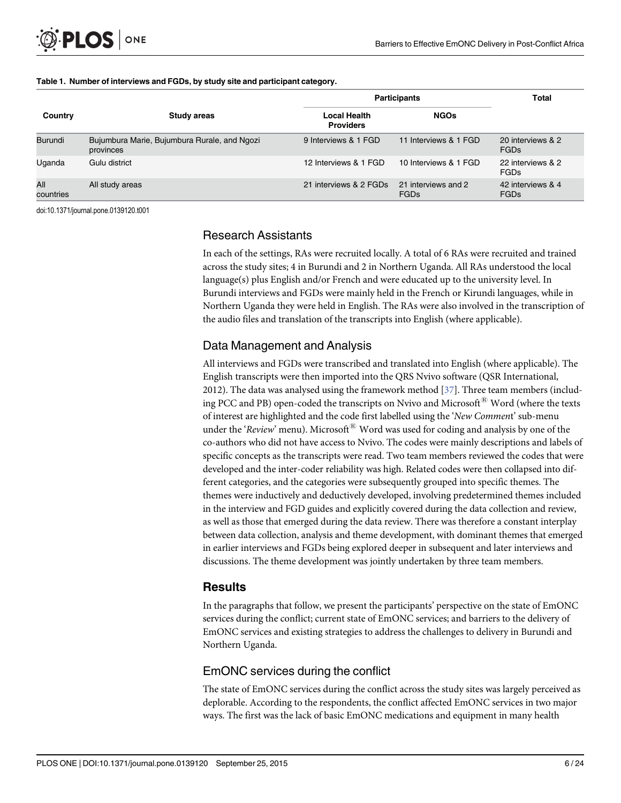|                  |                                                           |                                         | <b>Participants</b>                | <b>Total</b>                     |
|------------------|-----------------------------------------------------------|-----------------------------------------|------------------------------------|----------------------------------|
| Country          | Study areas                                               | <b>Local Health</b><br><b>Providers</b> | <b>NGOs</b>                        |                                  |
| Burundi          | Bujumbura Marie, Bujumbura Rurale, and Ngozi<br>provinces | 9 Interviews & 1 FGD                    | 11 Interviews & 1 FGD              | 20 interviews & 2<br>FGDs        |
| Uganda           | Gulu district                                             | 12 Interviews & 1 FGD                   | 10 Interviews & 1 FGD              | 22 interviews & 2<br><b>FGDs</b> |
| All<br>countries | All study areas                                           | 21 interviews & 2 FGDs                  | 21 interviews and 2<br><b>FGDs</b> | 42 interviews & 4<br><b>FGDs</b> |

#### <span id="page-5-0"></span>[Table 1.](#page-4-0) Number of interviews and FGDs, by study site and participant category.

doi:10.1371/journal.pone.0139120.t001

#### Research Assistants

In each of the settings, RAs were recruited locally. A total of 6 RAs were recruited and trained across the study sites; 4 in Burundi and 2 in Northern Uganda. All RAs understood the local language(s) plus English and/or French and were educated up to the university level. In Burundi interviews and FGDs were mainly held in the French or Kirundi languages, while in Northern Uganda they were held in English. The RAs were also involved in the transcription of the audio files and translation of the transcripts into English (where applicable).

## Data Management and Analysis

All interviews and FGDs were transcribed and translated into English (where applicable). The English transcripts were then imported into the QRS Nvivo software (QSR International, 2012). The data was analysed using the framework method [\[37\]](#page-22-0). Three team members (including PCC and PB) open-coded the transcripts on Nvivo and Microsoft<sup>®</sup> Word (where the texts of interest are highlighted and the code first labelled using the 'New Comment' sub-menu under the 'Review' menu). Microsoft<sup>®</sup> Word was used for coding and analysis by one of the co-authors who did not have access to Nvivo. The codes were mainly descriptions and labels of specific concepts as the transcripts were read. Two team members reviewed the codes that were developed and the inter-coder reliability was high. Related codes were then collapsed into different categories, and the categories were subsequently grouped into specific themes. The themes were inductively and deductively developed, involving predetermined themes included in the interview and FGD guides and explicitly covered during the data collection and review, as well as those that emerged during the data review. There was therefore a constant interplay between data collection, analysis and theme development, with dominant themes that emerged in earlier interviews and FGDs being explored deeper in subsequent and later interviews and discussions. The theme development was jointly undertaken by three team members.

#### **Results**

In the paragraphs that follow, we present the participants' perspective on the state of EmONC services during the conflict; current state of EmONC services; and barriers to the delivery of EmONC services and existing strategies to address the challenges to delivery in Burundi and Northern Uganda.

## EmONC services during the conflict

The state of EmONC services during the conflict across the study sites was largely perceived as deplorable. According to the respondents, the conflict affected EmONC services in two major ways. The first was the lack of basic EmONC medications and equipment in many health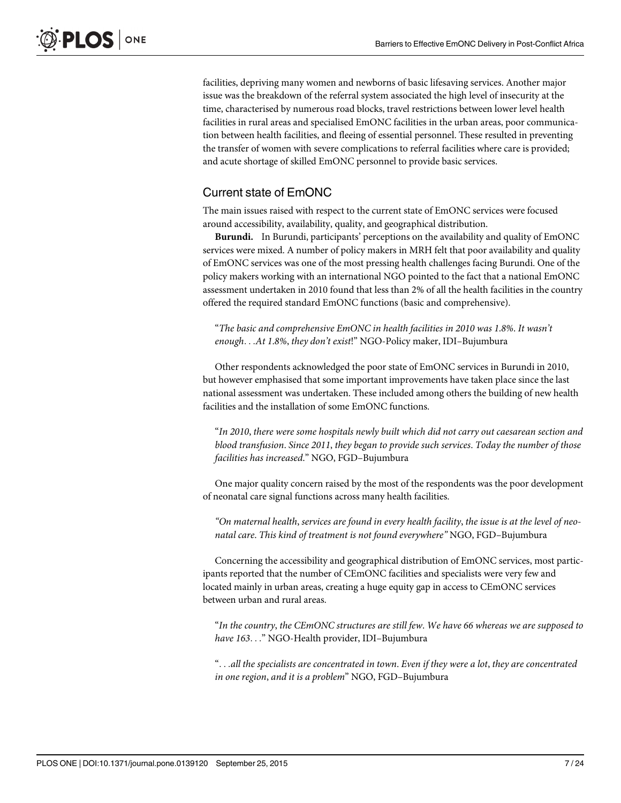facilities, depriving many women and newborns of basic lifesaving services. Another major issue was the breakdown of the referral system associated the high level of insecurity at the time, characterised by numerous road blocks, travel restrictions between lower level health facilities in rural areas and specialised EmONC facilities in the urban areas, poor communication between health facilities, and fleeing of essential personnel. These resulted in preventing the transfer of women with severe complications to referral facilities where care is provided; and acute shortage of skilled EmONC personnel to provide basic services.

#### Current state of EmONC

The main issues raised with respect to the current state of EmONC services were focused around accessibility, availability, quality, and geographical distribution.

Burundi. In Burundi, participants' perceptions on the availability and quality of EmONC services were mixed. A number of policy makers in MRH felt that poor availability and quality of EmONC services was one of the most pressing health challenges facing Burundi. One of the policy makers working with an international NGO pointed to the fact that a national EmONC assessment undertaken in 2010 found that less than 2% of all the health facilities in the country offered the required standard EmONC functions (basic and comprehensive).

"The basic and comprehensive EmONC in health facilities in 2010 was 1.8%. It wasn't enough...At 1.8%, they don't exist!" NGO-Policy maker, IDI–Bujumbura

Other respondents acknowledged the poor state of EmONC services in Burundi in 2010, but however emphasised that some important improvements have taken place since the last national assessment was undertaken. These included among others the building of new health facilities and the installation of some EmONC functions.

"In 2010, there were some hospitals newly built which did not carry out caesarean section and blood transfusion. Since 2011, they began to provide such services. Today the number of those facilities has increased." NGO, FGD–Bujumbura

One major quality concern raised by the most of the respondents was the poor development of neonatal care signal functions across many health facilities.

"On maternal health, services are found in every health facility, the issue is at the level of neonatal care. This kind of treatment is not found everywhere" NGO, FGD–Bujumbura

Concerning the accessibility and geographical distribution of EmONC services, most participants reported that the number of CEmONC facilities and specialists were very few and located mainly in urban areas, creating a huge equity gap in access to CEmONC services between urban and rural areas.

"In the country, the CEmONC structures are still few. We have 66 whereas we are supposed to have 163..." NGO-Health provider, IDI–Bujumbura

"...all the specialists are concentrated in town. Even if they were a lot, they are concentrated in one region, and it is a problem" NGO, FGD–Bujumbura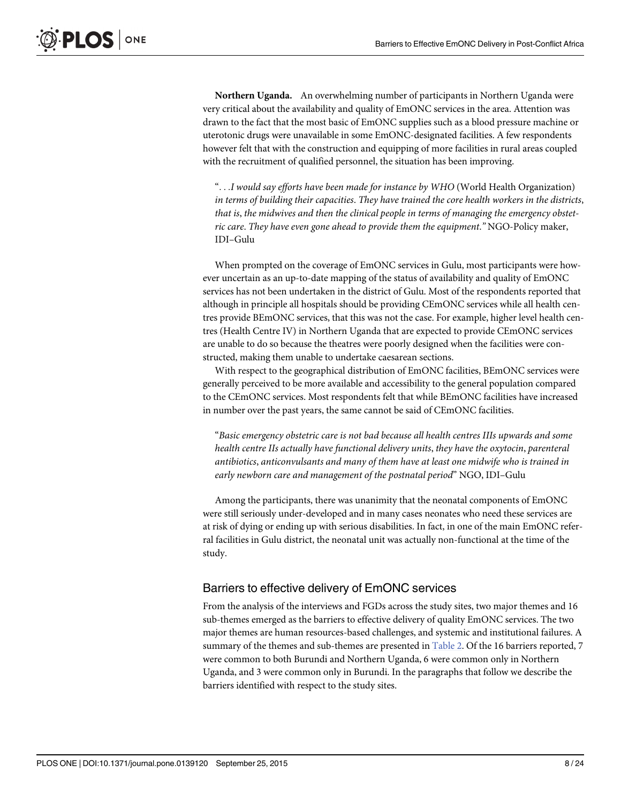<span id="page-7-0"></span>Northern Uganda. An overwhelming number of participants in Northern Uganda were very critical about the availability and quality of EmONC services in the area. Attention was drawn to the fact that the most basic of EmONC supplies such as a blood pressure machine or uterotonic drugs were unavailable in some EmONC-designated facilities. A few respondents however felt that with the construction and equipping of more facilities in rural areas coupled with the recruitment of qualified personnel, the situation has been improving.

"...I would say efforts have been made for instance by WHO (World Health Organization) in terms of building their capacities. They have trained the core health workers in the districts, that is, the midwives and then the clinical people in terms of managing the emergency obstetric care. They have even gone ahead to provide them the equipment." NGO-Policy maker, IDI–Gulu

When prompted on the coverage of EmONC services in Gulu, most participants were however uncertain as an up-to-date mapping of the status of availability and quality of EmONC services has not been undertaken in the district of Gulu. Most of the respondents reported that although in principle all hospitals should be providing CEmONC services while all health centres provide BEmONC services, that this was not the case. For example, higher level health centres (Health Centre IV) in Northern Uganda that are expected to provide CEmONC services are unable to do so because the theatres were poorly designed when the facilities were constructed, making them unable to undertake caesarean sections.

With respect to the geographical distribution of EmONC facilities, BEmONC services were generally perceived to be more available and accessibility to the general population compared to the CEmONC services. Most respondents felt that while BEmONC facilities have increased in number over the past years, the same cannot be said of CEmONC facilities.

"Basic emergency obstetric care is not bad because all health centres IIIs upwards and some health centre IIs actually have functional delivery units, they have the oxytocin, parenteral antibiotics, anticonvulsants and many of them have at least one midwife who is trained in early newborn care and management of the postnatal period" NGO, IDI–Gulu

Among the participants, there was unanimity that the neonatal components of EmONC were still seriously under-developed and in many cases neonates who need these services are at risk of dying or ending up with serious disabilities. In fact, in one of the main EmONC referral facilities in Gulu district, the neonatal unit was actually non-functional at the time of the study.

#### Barriers to effective delivery of EmONC services

From the analysis of the interviews and FGDs across the study sites, two major themes and 16 sub-themes emerged as the barriers to effective delivery of quality EmONC services. The two major themes are human resources-based challenges, and systemic and institutional failures. A summary of the themes and sub-themes are presented in [Table 2](#page-8-0). Of the 16 barriers reported, 7 were common to both Burundi and Northern Uganda, 6 were common only in Northern Uganda, and 3 were common only in Burundi. In the paragraphs that follow we describe the barriers identified with respect to the study sites.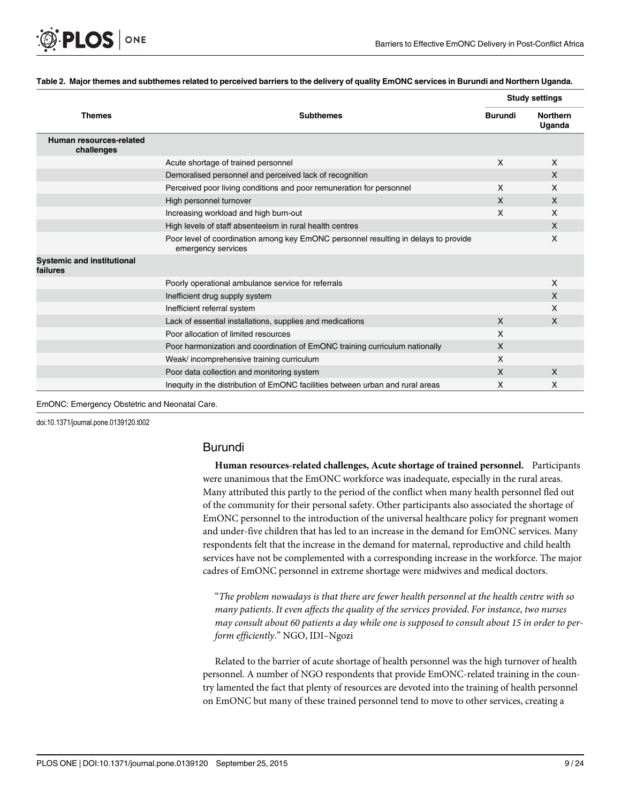<span id="page-8-0"></span>

#### [Table 2.](#page-7-0) Major themes and subthemes related to perceived barriers to the delivery of quality EmONC services in Burundi and Northern Uganda.

|                                               |                                                                                                           |                | <b>Study settings</b>     |  |
|-----------------------------------------------|-----------------------------------------------------------------------------------------------------------|----------------|---------------------------|--|
| <b>Themes</b>                                 | <b>Subthemes</b>                                                                                          | <b>Burundi</b> | <b>Northern</b><br>Uganda |  |
| Human resources-related<br>challenges         |                                                                                                           |                |                           |  |
|                                               | Acute shortage of trained personnel                                                                       | X              | $\times$                  |  |
|                                               | Demoralised personnel and perceived lack of recognition                                                   |                | $\sf X$                   |  |
|                                               | Perceived poor living conditions and poor remuneration for personnel                                      | X              | X                         |  |
|                                               | High personnel turnover                                                                                   | X              | $\sf X$                   |  |
|                                               | Increasing workload and high burn-out                                                                     | X              | X                         |  |
|                                               | High levels of staff absenteeism in rural health centres                                                  |                | $\boldsymbol{\mathsf{X}}$ |  |
|                                               | Poor level of coordination among key EmONC personnel resulting in delays to provide<br>emergency services |                | X                         |  |
| <b>Systemic and institutional</b><br>failures |                                                                                                           |                |                           |  |
|                                               | Poorly operational ambulance service for referrals                                                        |                | $\boldsymbol{\mathsf{X}}$ |  |
|                                               | Inefficient drug supply system                                                                            |                | X                         |  |
|                                               | Inefficient referral system                                                                               |                | X                         |  |
|                                               | Lack of essential installations, supplies and medications                                                 | X              | X                         |  |
|                                               | Poor allocation of limited resources                                                                      | X              |                           |  |
|                                               | Poor harmonization and coordination of EmONC training curriculum nationally                               | X              |                           |  |
|                                               | Weak/ incomprehensive training curriculum                                                                 | X              |                           |  |
|                                               | Poor data collection and monitoring system                                                                | X              | $\mathsf{X}$              |  |
|                                               | Inequity in the distribution of EmONC facilities between urban and rural areas                            | X              | X                         |  |

EmONC: Emergency Obstetric and Neonatal Care.

doi:10.1371/journal.pone.0139120.t002

#### Burundi

Human resources-related challenges, Acute shortage of trained personnel. Participants were unanimous that the EmONC workforce was inadequate, especially in the rural areas. Many attributed this partly to the period of the conflict when many health personnel fled out of the community for their personal safety. Other participants also associated the shortage of EmONC personnel to the introduction of the universal healthcare policy for pregnant women and under-five children that has led to an increase in the demand for EmONC services. Many respondents felt that the increase in the demand for maternal, reproductive and child health services have not be complemented with a corresponding increase in the workforce. The major cadres of EmONC personnel in extreme shortage were midwives and medical doctors.

"The problem nowadays is that there are fewer health personnel at the health centre with so many patients. It even affects the quality of the services provided. For instance, two nurses may consult about 60 patients a day while one is supposed to consult about 15 in order to perform efficiently." NGO, IDI–Ngozi

Related to the barrier of acute shortage of health personnel was the high turnover of health personnel. A number of NGO respondents that provide EmONC-related training in the country lamented the fact that plenty of resources are devoted into the training of health personnel on EmONC but many of these trained personnel tend to move to other services, creating a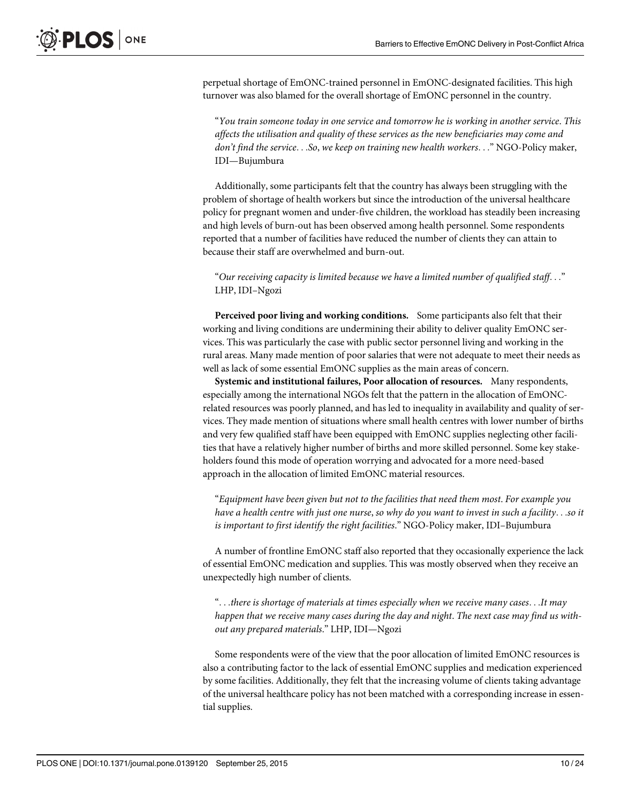perpetual shortage of EmONC-trained personnel in EmONC-designated facilities. This high turnover was also blamed for the overall shortage of EmONC personnel in the country.

"You train someone today in one service and tomorrow he is working in another service. This affects the utilisation and quality of these services as the new beneficiaries may come and don't find the service...So, we keep on training new health workers..." NGO-Policy maker, IDI—Bujumbura

Additionally, some participants felt that the country has always been struggling with the problem of shortage of health workers but since the introduction of the universal healthcare policy for pregnant women and under-five children, the workload has steadily been increasing and high levels of burn-out has been observed among health personnel. Some respondents reported that a number of facilities have reduced the number of clients they can attain to because their staff are overwhelmed and burn-out.

"Our receiving capacity is limited because we have a limited number of qualified staff. . ." LHP, IDI–Ngozi

Perceived poor living and working conditions. Some participants also felt that their working and living conditions are undermining their ability to deliver quality EmONC services. This was particularly the case with public sector personnel living and working in the rural areas. Many made mention of poor salaries that were not adequate to meet their needs as well as lack of some essential EmONC supplies as the main areas of concern.

Systemic and institutional failures, Poor allocation of resources. Many respondents, especially among the international NGOs felt that the pattern in the allocation of EmONCrelated resources was poorly planned, and has led to inequality in availability and quality of services. They made mention of situations where small health centres with lower number of births and very few qualified staff have been equipped with EmONC supplies neglecting other facilities that have a relatively higher number of births and more skilled personnel. Some key stakeholders found this mode of operation worrying and advocated for a more need-based approach in the allocation of limited EmONC material resources.

"Equipment have been given but not to the facilities that need them most. For example you have a health centre with just one nurse, so why do you want to invest in such a facility...so it is important to first identify the right facilities." NGO-Policy maker, IDI–Bujumbura

A number of frontline EmONC staff also reported that they occasionally experience the lack of essential EmONC medication and supplies. This was mostly observed when they receive an unexpectedly high number of clients.

"...there is shortage of materials at times especially when we receive many cases...It may happen that we receive many cases during the day and night. The next case may find us without any prepared materials." LHP, IDI—Ngozi

Some respondents were of the view that the poor allocation of limited EmONC resources is also a contributing factor to the lack of essential EmONC supplies and medication experienced by some facilities. Additionally, they felt that the increasing volume of clients taking advantage of the universal healthcare policy has not been matched with a corresponding increase in essential supplies.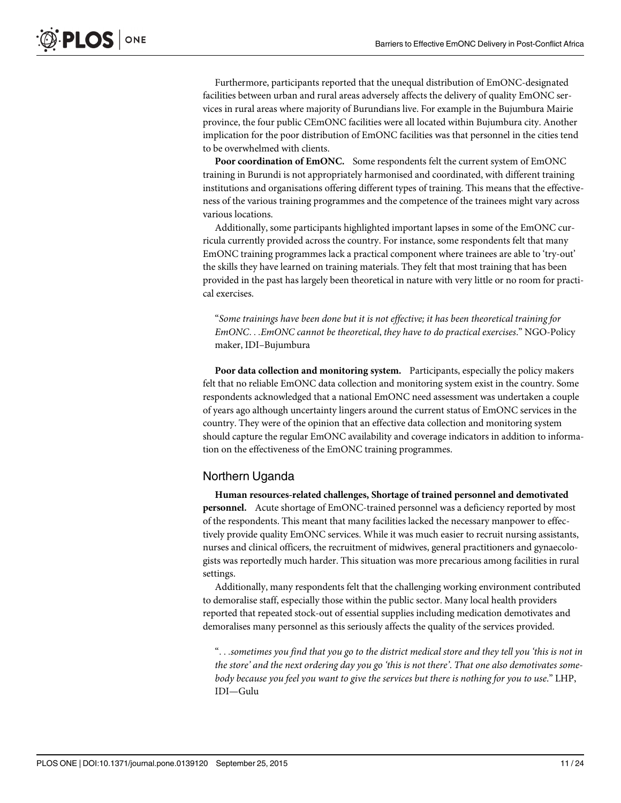Furthermore, participants reported that the unequal distribution of EmONC-designated facilities between urban and rural areas adversely affects the delivery of quality EmONC services in rural areas where majority of Burundians live. For example in the Bujumbura Mairie province, the four public CEmONC facilities were all located within Bujumbura city. Another implication for the poor distribution of EmONC facilities was that personnel in the cities tend to be overwhelmed with clients.

Poor coordination of EmONC. Some respondents felt the current system of EmONC training in Burundi is not appropriately harmonised and coordinated, with different training institutions and organisations offering different types of training. This means that the effectiveness of the various training programmes and the competence of the trainees might vary across various locations.

Additionally, some participants highlighted important lapses in some of the EmONC curricula currently provided across the country. For instance, some respondents felt that many EmONC training programmes lack a practical component where trainees are able to 'try-out' the skills they have learned on training materials. They felt that most training that has been provided in the past has largely been theoretical in nature with very little or no room for practical exercises.

"Some trainings have been done but it is not effective; it has been theoretical training for EmONC...EmONC cannot be theoretical, they have to do practical exercises." NGO-Policy maker, IDI–Bujumbura

Poor data collection and monitoring system. Participants, especially the policy makers felt that no reliable EmONC data collection and monitoring system exist in the country. Some respondents acknowledged that a national EmONC need assessment was undertaken a couple of years ago although uncertainty lingers around the current status of EmONC services in the country. They were of the opinion that an effective data collection and monitoring system should capture the regular EmONC availability and coverage indicators in addition to information on the effectiveness of the EmONC training programmes.

#### Northern Uganda

Human resources-related challenges, Shortage of trained personnel and demotivated personnel. Acute shortage of EmONC-trained personnel was a deficiency reported by most of the respondents. This meant that many facilities lacked the necessary manpower to effectively provide quality EmONC services. While it was much easier to recruit nursing assistants, nurses and clinical officers, the recruitment of midwives, general practitioners and gynaecologists was reportedly much harder. This situation was more precarious among facilities in rural settings.

Additionally, many respondents felt that the challenging working environment contributed to demoralise staff, especially those within the public sector. Many local health providers reported that repeated stock-out of essential supplies including medication demotivates and demoralises many personnel as this seriously affects the quality of the services provided.

"...sometimes you find that you go to the district medical store and they tell you 'this is not in the store' and the next ordering day you go 'this is not there'. That one also demotivates somebody because you feel you want to give the services but there is nothing for you to use." LHP, IDI—Gulu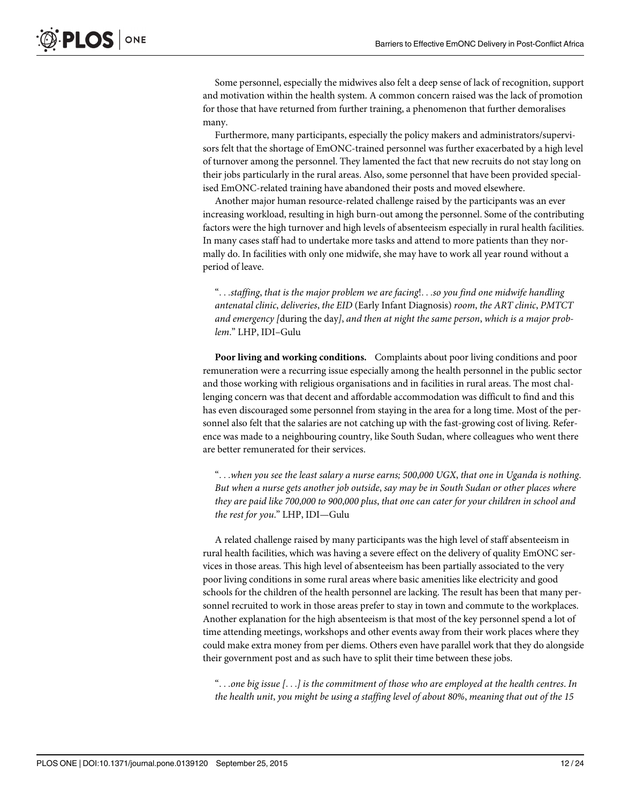Some personnel, especially the midwives also felt a deep sense of lack of recognition, support and motivation within the health system. A common concern raised was the lack of promotion for those that have returned from further training, a phenomenon that further demoralises many.

Furthermore, many participants, especially the policy makers and administrators/supervisors felt that the shortage of EmONC-trained personnel was further exacerbated by a high level of turnover among the personnel. They lamented the fact that new recruits do not stay long on their jobs particularly in the rural areas. Also, some personnel that have been provided specialised EmONC-related training have abandoned their posts and moved elsewhere.

Another major human resource-related challenge raised by the participants was an ever increasing workload, resulting in high burn-out among the personnel. Some of the contributing factors were the high turnover and high levels of absenteeism especially in rural health facilities. In many cases staff had to undertake more tasks and attend to more patients than they normally do. In facilities with only one midwife, she may have to work all year round without a period of leave.

"...staffing, that is the major problem we are facing!...so you find one midwife handling antenatal clinic, deliveries, the EID (Early Infant Diagnosis) room, the ART clinic, PMTCT and emergency [during the day], and then at night the same person, which is a major problem." LHP, IDI–Gulu

Poor living and working conditions. Complaints about poor living conditions and poor remuneration were a recurring issue especially among the health personnel in the public sector and those working with religious organisations and in facilities in rural areas. The most challenging concern was that decent and affordable accommodation was difficult to find and this has even discouraged some personnel from staying in the area for a long time. Most of the personnel also felt that the salaries are not catching up with the fast-growing cost of living. Reference was made to a neighbouring country, like South Sudan, where colleagues who went there are better remunerated for their services.

"...when you see the least salary a nurse earns; 500,000 UGX, that one in Uganda is nothing. But when a nurse gets another job outside, say may be in South Sudan or other places where they are paid like 700,000 to 900,000 plus, that one can cater for your children in school and the rest for you." LHP, IDI—Gulu

A related challenge raised by many participants was the high level of staff absenteeism in rural health facilities, which was having a severe effect on the delivery of quality EmONC services in those areas. This high level of absenteeism has been partially associated to the very poor living conditions in some rural areas where basic amenities like electricity and good schools for the children of the health personnel are lacking. The result has been that many personnel recruited to work in those areas prefer to stay in town and commute to the workplaces. Another explanation for the high absenteeism is that most of the key personnel spend a lot of time attending meetings, workshops and other events away from their work places where they could make extra money from per diems. Others even have parallel work that they do alongside their government post and as such have to split their time between these jobs.

"...one big issue  $[...]$  is the commitment of those who are employed at the health centres. In the health unit, you might be using a staffing level of about 80%, meaning that out of the 15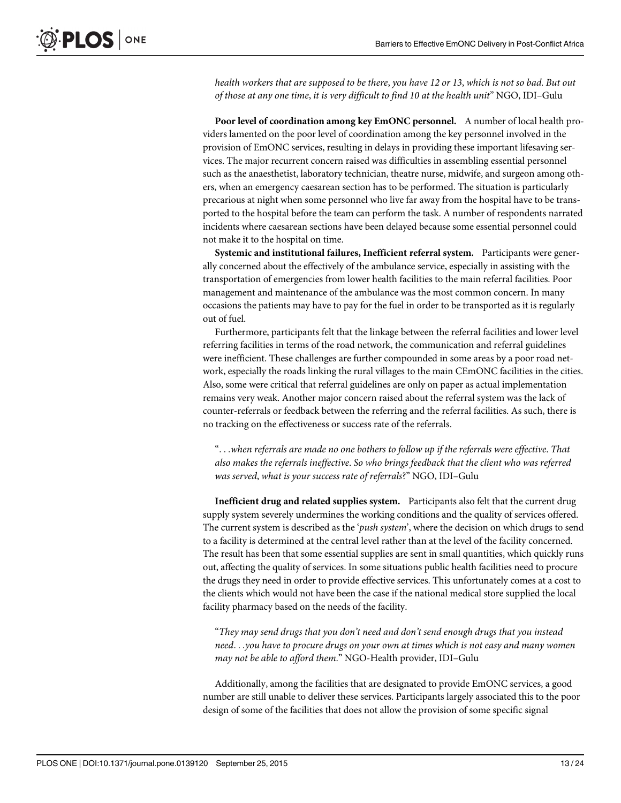health workers that are supposed to be there, you have 12 or 13, which is not so bad. But out of those at any one time, it is very difficult to find 10 at the health unit" NGO, IDI–Gulu

Poor level of coordination among key EmONC personnel. A number of local health providers lamented on the poor level of coordination among the key personnel involved in the provision of EmONC services, resulting in delays in providing these important lifesaving services. The major recurrent concern raised was difficulties in assembling essential personnel such as the anaesthetist, laboratory technician, theatre nurse, midwife, and surgeon among others, when an emergency caesarean section has to be performed. The situation is particularly precarious at night when some personnel who live far away from the hospital have to be transported to the hospital before the team can perform the task. A number of respondents narrated incidents where caesarean sections have been delayed because some essential personnel could not make it to the hospital on time.

Systemic and institutional failures, Inefficient referral system. Participants were generally concerned about the effectively of the ambulance service, especially in assisting with the transportation of emergencies from lower health facilities to the main referral facilities. Poor management and maintenance of the ambulance was the most common concern. In many occasions the patients may have to pay for the fuel in order to be transported as it is regularly out of fuel.

Furthermore, participants felt that the linkage between the referral facilities and lower level referring facilities in terms of the road network, the communication and referral guidelines were inefficient. These challenges are further compounded in some areas by a poor road network, especially the roads linking the rural villages to the main CEmONC facilities in the cities. Also, some were critical that referral guidelines are only on paper as actual implementation remains very weak. Another major concern raised about the referral system was the lack of counter-referrals or feedback between the referring and the referral facilities. As such, there is no tracking on the effectiveness or success rate of the referrals.

"...when referrals are made no one bothers to follow up if the referrals were effective. That also makes the referrals ineffective. So who brings feedback that the client who was referred was served, what is your success rate of referrals?" NGO, IDI–Gulu

Inefficient drug and related supplies system. Participants also felt that the current drug supply system severely undermines the working conditions and the quality of services offered. The current system is described as the 'push system', where the decision on which drugs to send to a facility is determined at the central level rather than at the level of the facility concerned. The result has been that some essential supplies are sent in small quantities, which quickly runs out, affecting the quality of services. In some situations public health facilities need to procure the drugs they need in order to provide effective services. This unfortunately comes at a cost to the clients which would not have been the case if the national medical store supplied the local facility pharmacy based on the needs of the facility.

"They may send drugs that you don't need and don't send enough drugs that you instead need...you have to procure drugs on your own at times which is not easy and many women may not be able to afford them." NGO-Health provider, IDI–Gulu

Additionally, among the facilities that are designated to provide EmONC services, a good number are still unable to deliver these services. Participants largely associated this to the poor design of some of the facilities that does not allow the provision of some specific signal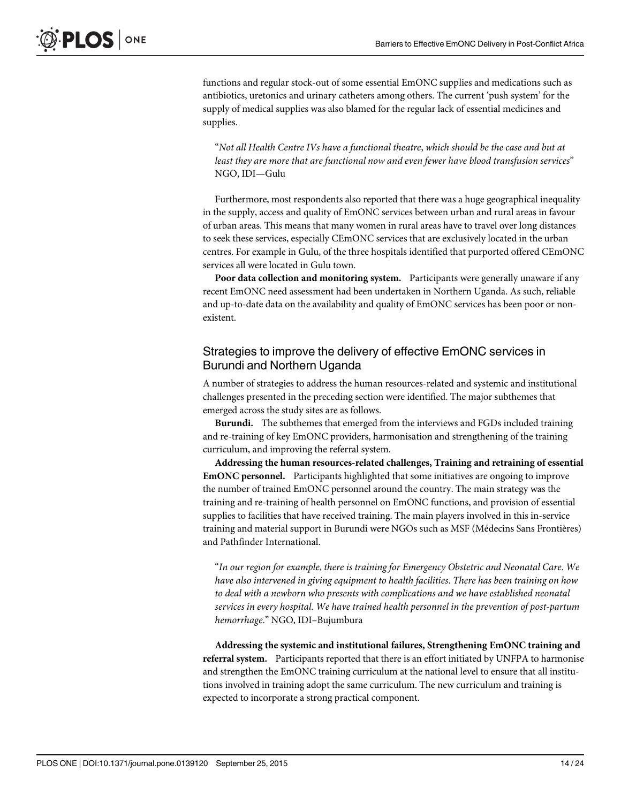functions and regular stock-out of some essential EmONC supplies and medications such as antibiotics, uretonics and urinary catheters among others. The current 'push system' for the supply of medical supplies was also blamed for the regular lack of essential medicines and supplies.

"Not all Health Centre IVs have a functional theatre, which should be the case and but at least they are more that are functional now and even fewer have blood transfusion services" NGO, IDI—Gulu

Furthermore, most respondents also reported that there was a huge geographical inequality in the supply, access and quality of EmONC services between urban and rural areas in favour of urban areas. This means that many women in rural areas have to travel over long distances to seek these services, especially CEmONC services that are exclusively located in the urban centres. For example in Gulu, of the three hospitals identified that purported offered CEmONC services all were located in Gulu town.

Poor data collection and monitoring system. Participants were generally unaware if any recent EmONC need assessment had been undertaken in Northern Uganda. As such, reliable and up-to-date data on the availability and quality of EmONC services has been poor or nonexistent.

#### Strategies to improve the delivery of effective EmONC services in Burundi and Northern Uganda

A number of strategies to address the human resources-related and systemic and institutional challenges presented in the preceding section were identified. The major subthemes that emerged across the study sites are as follows.

Burundi. The subthemes that emerged from the interviews and FGDs included training and re-training of key EmONC providers, harmonisation and strengthening of the training curriculum, and improving the referral system.

Addressing the human resources-related challenges, Training and retraining of essential EmONC personnel. Participants highlighted that some initiatives are ongoing to improve the number of trained EmONC personnel around the country. The main strategy was the training and re-training of health personnel on EmONC functions, and provision of essential supplies to facilities that have received training. The main players involved in this in-service training and material support in Burundi were NGOs such as MSF (Médecins Sans Frontières) and Pathfinder International.

"In our region for example, there is training for Emergency Obstetric and Neonatal Care. We have also intervened in giving equipment to health facilities. There has been training on how to deal with a newborn who presents with complications and we have established neonatal services in every hospital. We have trained health personnel in the prevention of post-partum hemorrhage." NGO, IDI–Bujumbura

Addressing the systemic and institutional failures, Strengthening EmONC training and referral system. Participants reported that there is an effort initiated by UNFPA to harmonise and strengthen the EmONC training curriculum at the national level to ensure that all institutions involved in training adopt the same curriculum. The new curriculum and training is expected to incorporate a strong practical component.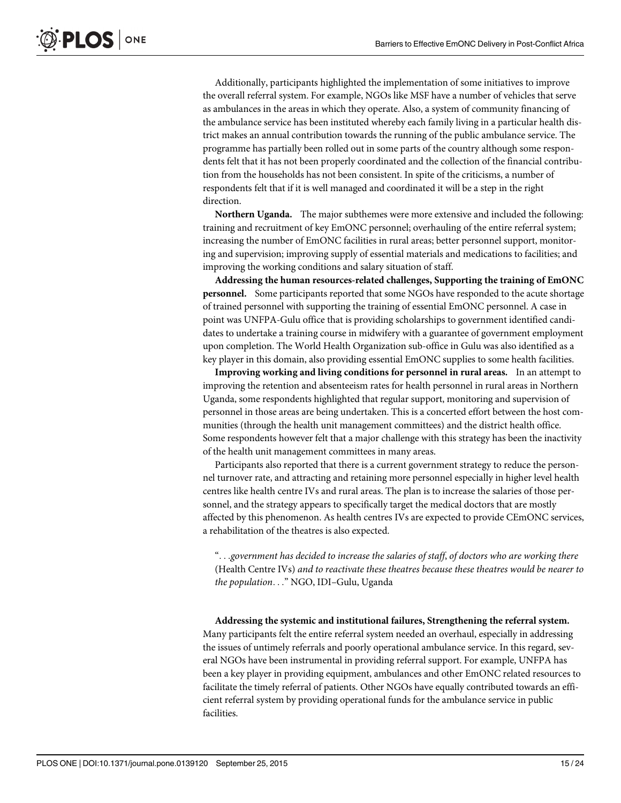Additionally, participants highlighted the implementation of some initiatives to improve the overall referral system. For example, NGOs like MSF have a number of vehicles that serve as ambulances in the areas in which they operate. Also, a system of community financing of the ambulance service has been instituted whereby each family living in a particular health district makes an annual contribution towards the running of the public ambulance service. The programme has partially been rolled out in some parts of the country although some respondents felt that it has not been properly coordinated and the collection of the financial contribution from the households has not been consistent. In spite of the criticisms, a number of respondents felt that if it is well managed and coordinated it will be a step in the right direction.

Northern Uganda. The major subthemes were more extensive and included the following: training and recruitment of key EmONC personnel; overhauling of the entire referral system; increasing the number of EmONC facilities in rural areas; better personnel support, monitoring and supervision; improving supply of essential materials and medications to facilities; and improving the working conditions and salary situation of staff.

Addressing the human resources-related challenges, Supporting the training of EmONC personnel. Some participants reported that some NGOs have responded to the acute shortage of trained personnel with supporting the training of essential EmONC personnel. A case in point was UNFPA-Gulu office that is providing scholarships to government identified candidates to undertake a training course in midwifery with a guarantee of government employment upon completion. The World Health Organization sub-office in Gulu was also identified as a key player in this domain, also providing essential EmONC supplies to some health facilities.

Improving working and living conditions for personnel in rural areas. In an attempt to improving the retention and absenteeism rates for health personnel in rural areas in Northern Uganda, some respondents highlighted that regular support, monitoring and supervision of personnel in those areas are being undertaken. This is a concerted effort between the host communities (through the health unit management committees) and the district health office. Some respondents however felt that a major challenge with this strategy has been the inactivity of the health unit management committees in many areas.

Participants also reported that there is a current government strategy to reduce the personnel turnover rate, and attracting and retaining more personnel especially in higher level health centres like health centre IVs and rural areas. The plan is to increase the salaries of those personnel, and the strategy appears to specifically target the medical doctors that are mostly affected by this phenomenon. As health centres IVs are expected to provide CEmONC services, a rehabilitation of the theatres is also expected.

"...government has decided to increase the salaries of staff, of doctors who are working there (Health Centre IVs) and to reactivate these theatres because these theatres would be nearer to the population..." NGO, IDI–Gulu, Uganda

Addressing the systemic and institutional failures, Strengthening the referral system. Many participants felt the entire referral system needed an overhaul, especially in addressing the issues of untimely referrals and poorly operational ambulance service. In this regard, several NGOs have been instrumental in providing referral support. For example, UNFPA has been a key player in providing equipment, ambulances and other EmONC related resources to facilitate the timely referral of patients. Other NGOs have equally contributed towards an efficient referral system by providing operational funds for the ambulance service in public facilities.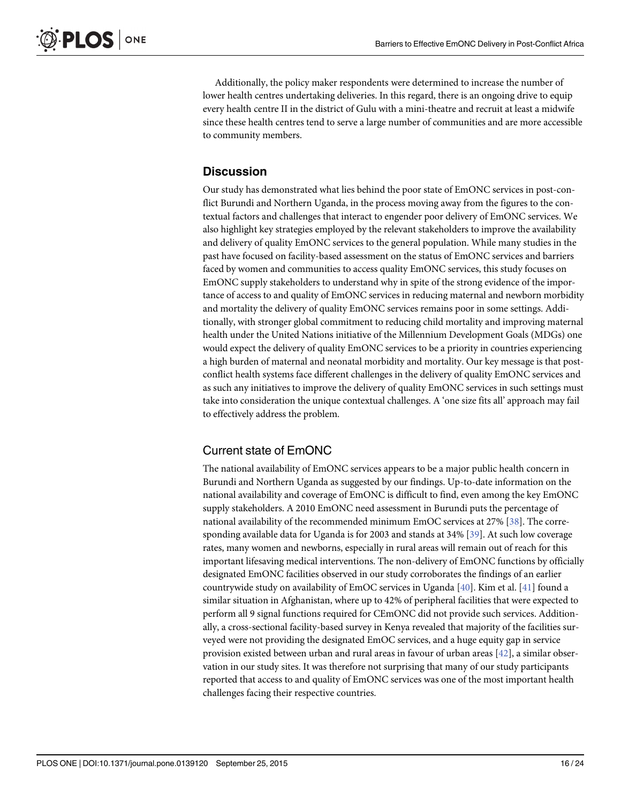<span id="page-15-0"></span>Additionally, the policy maker respondents were determined to increase the number of lower health centres undertaking deliveries. In this regard, there is an ongoing drive to equip every health centre II in the district of Gulu with a mini-theatre and recruit at least a midwife since these health centres tend to serve a large number of communities and are more accessible to community members.

#### **Discussion**

Our study has demonstrated what lies behind the poor state of EmONC services in post-conflict Burundi and Northern Uganda, in the process moving away from the figures to the contextual factors and challenges that interact to engender poor delivery of EmONC services. We also highlight key strategies employed by the relevant stakeholders to improve the availability and delivery of quality EmONC services to the general population. While many studies in the past have focused on facility-based assessment on the status of EmONC services and barriers faced by women and communities to access quality EmONC services, this study focuses on EmONC supply stakeholders to understand why in spite of the strong evidence of the importance of access to and quality of EmONC services in reducing maternal and newborn morbidity and mortality the delivery of quality EmONC services remains poor in some settings. Additionally, with stronger global commitment to reducing child mortality and improving maternal health under the United Nations initiative of the Millennium Development Goals (MDGs) one would expect the delivery of quality EmONC services to be a priority in countries experiencing a high burden of maternal and neonatal morbidity and mortality. Our key message is that postconflict health systems face different challenges in the delivery of quality EmONC services and as such any initiatives to improve the delivery of quality EmONC services in such settings must take into consideration the unique contextual challenges. A 'one size fits all' approach may fail to effectively address the problem.

# Current state of EmONC

The national availability of EmONC services appears to be a major public health concern in Burundi and Northern Uganda as suggested by our findings. Up-to-date information on the national availability and coverage of EmONC is difficult to find, even among the key EmONC supply stakeholders. A 2010 EmONC need assessment in Burundi puts the percentage of national availability of the recommended minimum EmOC services at 27% [\[38\]](#page-22-0). The corresponding available data for Uganda is for 2003 and stands at 34% [\[39\]](#page-22-0). At such low coverage rates, many women and newborns, especially in rural areas will remain out of reach for this important lifesaving medical interventions. The non-delivery of EmONC functions by officially designated EmONC facilities observed in our study corroborates the findings of an earlier countrywide study on availability of EmOC services in Uganda [[40\]](#page-22-0). Kim et al. [\[41\]](#page-22-0) found a similar situation in Afghanistan, where up to 42% of peripheral facilities that were expected to perform all 9 signal functions required for CEmONC did not provide such services. Additionally, a cross-sectional facility-based survey in Kenya revealed that majority of the facilities surveyed were not providing the designated EmOC services, and a huge equity gap in service provision existed between urban and rural areas in favour of urban areas  $[42]$  $[42]$  $[42]$ , a similar observation in our study sites. It was therefore not surprising that many of our study participants reported that access to and quality of EmONC services was one of the most important health challenges facing their respective countries.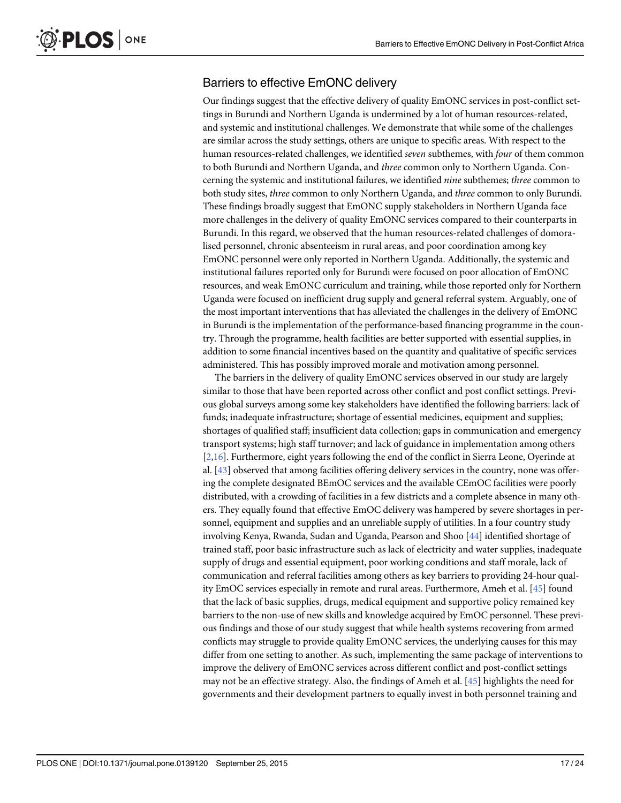# <span id="page-16-0"></span>Barriers to effective EmONC delivery

Our findings suggest that the effective delivery of quality EmONC services in post-conflict settings in Burundi and Northern Uganda is undermined by a lot of human resources-related, and systemic and institutional challenges. We demonstrate that while some of the challenges are similar across the study settings, others are unique to specific areas. With respect to the human resources-related challenges, we identified *seven* subthemes, with *four* of them common to both Burundi and Northern Uganda, and three common only to Northern Uganda. Concerning the systemic and institutional failures, we identified nine subthemes; three common to both study sites, three common to only Northern Uganda, and three common to only Burundi. These findings broadly suggest that EmONC supply stakeholders in Northern Uganda face more challenges in the delivery of quality EmONC services compared to their counterparts in Burundi. In this regard, we observed that the human resources-related challenges of domoralised personnel, chronic absenteeism in rural areas, and poor coordination among key EmONC personnel were only reported in Northern Uganda. Additionally, the systemic and institutional failures reported only for Burundi were focused on poor allocation of EmONC resources, and weak EmONC curriculum and training, while those reported only for Northern Uganda were focused on inefficient drug supply and general referral system. Arguably, one of the most important interventions that has alleviated the challenges in the delivery of EmONC in Burundi is the implementation of the performance-based financing programme in the country. Through the programme, health facilities are better supported with essential supplies, in addition to some financial incentives based on the quantity and qualitative of specific services administered. This has possibly improved morale and motivation among personnel.

The barriers in the delivery of quality EmONC services observed in our study are largely similar to those that have been reported across other conflict and post conflict settings. Previous global surveys among some key stakeholders have identified the following barriers: lack of funds; inadequate infrastructure; shortage of essential medicines, equipment and supplies; shortages of qualified staff; insufficient data collection; gaps in communication and emergency transport systems; high staff turnover; and lack of guidance in implementation among others  $[2,16]$  $[2,16]$  $[2,16]$ . Furthermore, eight years following the end of the conflict in Sierra Leone, Oyerinde at al. [[43](#page-22-0)] observed that among facilities offering delivery services in the country, none was offering the complete designated BEmOC services and the available CEmOC facilities were poorly distributed, with a crowding of facilities in a few districts and a complete absence in many others. They equally found that effective EmOC delivery was hampered by severe shortages in personnel, equipment and supplies and an unreliable supply of utilities. In a four country study involving Kenya, Rwanda, Sudan and Uganda, Pearson and Shoo [[44](#page-22-0)] identified shortage of trained staff, poor basic infrastructure such as lack of electricity and water supplies, inadequate supply of drugs and essential equipment, poor working conditions and staff morale, lack of communication and referral facilities among others as key barriers to providing 24-hour quality EmOC services especially in remote and rural areas. Furthermore, Ameh et al. [[45](#page-22-0)] found that the lack of basic supplies, drugs, medical equipment and supportive policy remained key barriers to the non-use of new skills and knowledge acquired by EmOC personnel. These previous findings and those of our study suggest that while health systems recovering from armed conflicts may struggle to provide quality EmONC services, the underlying causes for this may differ from one setting to another. As such, implementing the same package of interventions to improve the delivery of EmONC services across different conflict and post-conflict settings may not be an effective strategy. Also, the findings of Ameh et al. [\[45](#page-22-0)] highlights the need for governments and their development partners to equally invest in both personnel training and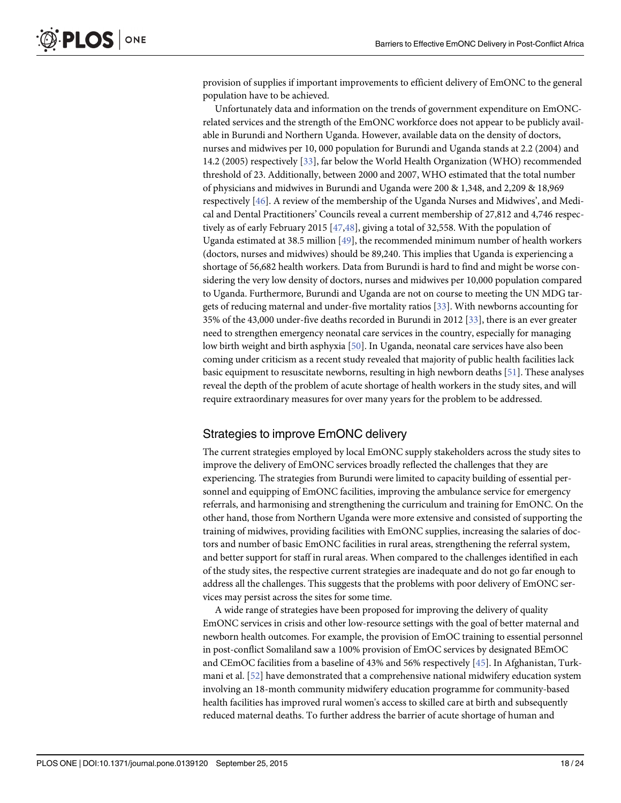<span id="page-17-0"></span>provision of supplies if important improvements to efficient delivery of EmONC to the general population have to be achieved.

Unfortunately data and information on the trends of government expenditure on EmONCrelated services and the strength of the EmONC workforce does not appear to be publicly available in Burundi and Northern Uganda. However, available data on the density of doctors, nurses and midwives per 10, 000 population for Burundi and Uganda stands at 2.2 (2004) and 14.2 (2005) respectively [\[33\]](#page-22-0), far below the World Health Organization (WHO) recommended threshold of 23. Additionally, between 2000 and 2007, WHO estimated that the total number of physicians and midwives in Burundi and Uganda were 200 & 1,348, and 2,209 & 18,969 respectively [\[46\]](#page-23-0). A review of the membership of the Uganda Nurses and Midwives', and Medical and Dental Practitioners' Councils reveal a current membership of 27,812 and 4,746 respectively as of early February 2015 [\[47,48\]](#page-23-0), giving a total of 32,558. With the population of Uganda estimated at 38.5 million [[49](#page-23-0)], the recommended minimum number of health workers (doctors, nurses and midwives) should be 89,240. This implies that Uganda is experiencing a shortage of 56,682 health workers. Data from Burundi is hard to find and might be worse considering the very low density of doctors, nurses and midwives per 10,000 population compared to Uganda. Furthermore, Burundi and Uganda are not on course to meeting the UN MDG targets of reducing maternal and under-five mortality ratios [[33](#page-22-0)]. With newborns accounting for 35% of the 43,000 under-five deaths recorded in Burundi in 2012 [\[33\]](#page-22-0), there is an ever greater need to strengthen emergency neonatal care services in the country, especially for managing low birth weight and birth asphyxia [\[50](#page-23-0)]. In Uganda, neonatal care services have also been coming under criticism as a recent study revealed that majority of public health facilities lack basic equipment to resuscitate newborns, resulting in high newborn deaths [\[51\]](#page-23-0). These analyses reveal the depth of the problem of acute shortage of health workers in the study sites, and will require extraordinary measures for over many years for the problem to be addressed.

## Strategies to improve EmONC delivery

The current strategies employed by local EmONC supply stakeholders across the study sites to improve the delivery of EmONC services broadly reflected the challenges that they are experiencing. The strategies from Burundi were limited to capacity building of essential personnel and equipping of EmONC facilities, improving the ambulance service for emergency referrals, and harmonising and strengthening the curriculum and training for EmONC. On the other hand, those from Northern Uganda were more extensive and consisted of supporting the training of midwives, providing facilities with EmONC supplies, increasing the salaries of doctors and number of basic EmONC facilities in rural areas, strengthening the referral system, and better support for staff in rural areas. When compared to the challenges identified in each of the study sites, the respective current strategies are inadequate and do not go far enough to address all the challenges. This suggests that the problems with poor delivery of EmONC services may persist across the sites for some time.

A wide range of strategies have been proposed for improving the delivery of quality EmONC services in crisis and other low-resource settings with the goal of better maternal and newborn health outcomes. For example, the provision of EmOC training to essential personnel in post-conflict Somaliland saw a 100% provision of EmOC services by designated BEmOC and CEmOC facilities from a baseline of 43% and 56% respectively [\[45\]](#page-22-0). In Afghanistan, Turkmani et al. [[52](#page-23-0)] have demonstrated that a comprehensive national midwifery education system involving an 18-month community midwifery education programme for community-based health facilities has improved rural women's access to skilled care at birth and subsequently reduced maternal deaths. To further address the barrier of acute shortage of human and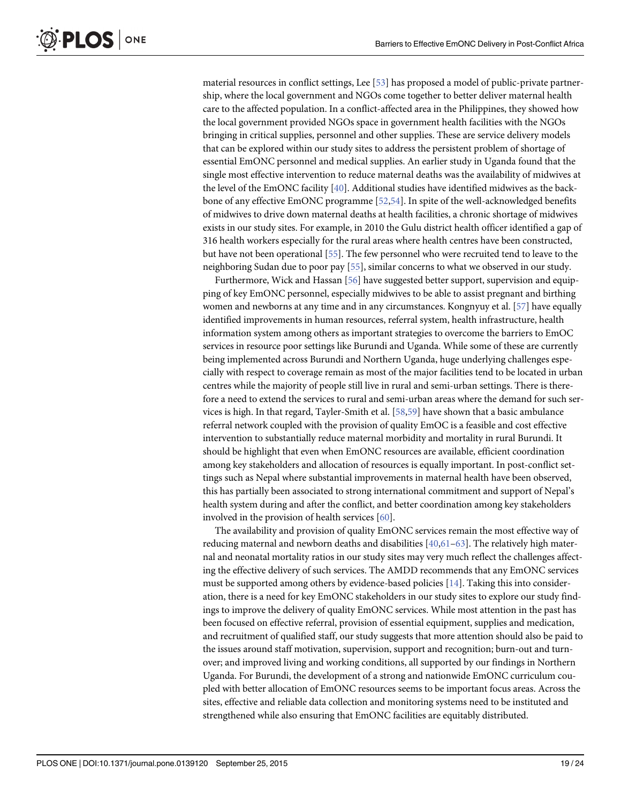<span id="page-18-0"></span>material resources in conflict settings, Lee [[53](#page-23-0)] has proposed a model of public-private partnership, where the local government and NGOs come together to better deliver maternal health care to the affected population. In a conflict-affected area in the Philippines, they showed how the local government provided NGOs space in government health facilities with the NGOs bringing in critical supplies, personnel and other supplies. These are service delivery models that can be explored within our study sites to address the persistent problem of shortage of essential EmONC personnel and medical supplies. An earlier study in Uganda found that the single most effective intervention to reduce maternal deaths was the availability of midwives at the level of the EmONC facility [\[40](#page-22-0)]. Additional studies have identified midwives as the backbone of any effective EmONC programme [\[52,54\]](#page-23-0). In spite of the well-acknowledged benefits of midwives to drive down maternal deaths at health facilities, a chronic shortage of midwives exists in our study sites. For example, in 2010 the Gulu district health officer identified a gap of 316 health workers especially for the rural areas where health centres have been constructed, but have not been operational [[55](#page-23-0)]. The few personnel who were recruited tend to leave to the neighboring Sudan due to poor pay [[55](#page-23-0)], similar concerns to what we observed in our study.

Furthermore, Wick and Hassan [\[56\]](#page-23-0) have suggested better support, supervision and equipping of key EmONC personnel, especially midwives to be able to assist pregnant and birthing women and newborns at any time and in any circumstances. Kongnyuy et al. [\[57\]](#page-23-0) have equally identified improvements in human resources, referral system, health infrastructure, health information system among others as important strategies to overcome the barriers to EmOC services in resource poor settings like Burundi and Uganda. While some of these are currently being implemented across Burundi and Northern Uganda, huge underlying challenges especially with respect to coverage remain as most of the major facilities tend to be located in urban centres while the majority of people still live in rural and semi-urban settings. There is therefore a need to extend the services to rural and semi-urban areas where the demand for such services is high. In that regard, Tayler-Smith et al. [\[58,59](#page-23-0)] have shown that a basic ambulance referral network coupled with the provision of quality EmOC is a feasible and cost effective intervention to substantially reduce maternal morbidity and mortality in rural Burundi. It should be highlight that even when EmONC resources are available, efficient coordination among key stakeholders and allocation of resources is equally important. In post-conflict settings such as Nepal where substantial improvements in maternal health have been observed, this has partially been associated to strong international commitment and support of Nepal's health system during and after the conflict, and better coordination among key stakeholders involved in the provision of health services [[60](#page-23-0)].

The availability and provision of quality EmONC services remain the most effective way of reducing maternal and newborn deaths and disabilities  $[40,61-63]$  $[40,61-63]$  $[40,61-63]$  $[40,61-63]$  $[40,61-63]$  $[40,61-63]$ . The relatively high maternal and neonatal mortality ratios in our study sites may very much reflect the challenges affecting the effective delivery of such services. The AMDD recommends that any EmONC services must be supported among others by evidence-based policies  $[14]$  $[14]$ . Taking this into consideration, there is a need for key EmONC stakeholders in our study sites to explore our study findings to improve the delivery of quality EmONC services. While most attention in the past has been focused on effective referral, provision of essential equipment, supplies and medication, and recruitment of qualified staff, our study suggests that more attention should also be paid to the issues around staff motivation, supervision, support and recognition; burn-out and turnover; and improved living and working conditions, all supported by our findings in Northern Uganda. For Burundi, the development of a strong and nationwide EmONC curriculum coupled with better allocation of EmONC resources seems to be important focus areas. Across the sites, effective and reliable data collection and monitoring systems need to be instituted and strengthened while also ensuring that EmONC facilities are equitably distributed.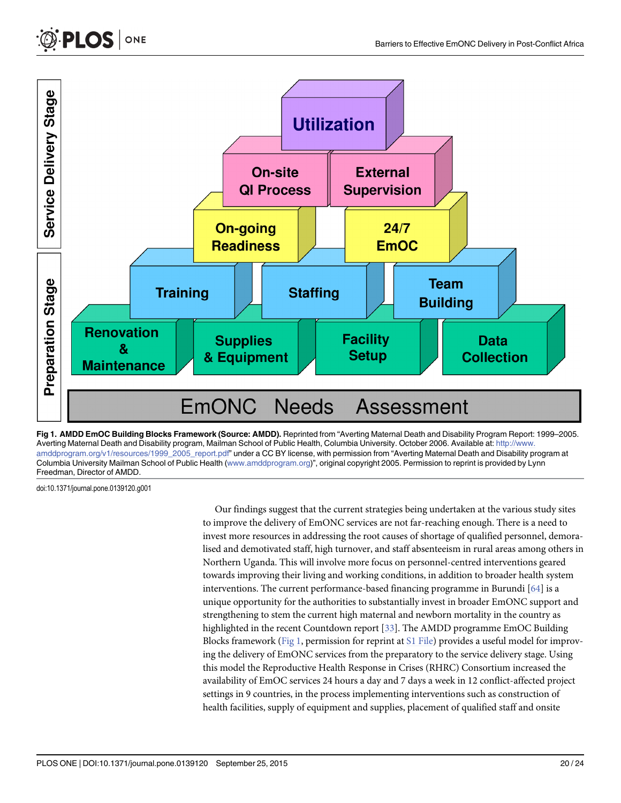



doi:10.1371/journal.pone.0139120.g001

<span id="page-19-0"></span> $PLOS |$  ONE

Our findings suggest that the current strategies being undertaken at the various study sites to improve the delivery of EmONC services are not far-reaching enough. There is a need to invest more resources in addressing the root causes of shortage of qualified personnel, demoralised and demotivated staff, high turnover, and staff absenteeism in rural areas among others in Northern Uganda. This will involve more focus on personnel-centred interventions geared towards improving their living and working conditions, in addition to broader health system interventions. The current performance-based financing programme in Burundi [\[64](#page-23-0)] is a unique opportunity for the authorities to substantially invest in broader EmONC support and strengthening to stem the current high maternal and newborn mortality in the country as highlighted in the recent Countdown report [\[33\]](#page-22-0). The AMDD programme EmOC Building Blocks framework (Fig 1, permission for reprint at *[S1 File](#page-20-0)*) provides a useful model for improving the delivery of EmONC services from the preparatory to the service delivery stage. Using this model the Reproductive Health Response in Crises (RHRC) Consortium increased the availability of EmOC services 24 hours a day and 7 days a week in 12 conflict-affected project settings in 9 countries, in the process implementing interventions such as construction of health facilities, supply of equipment and supplies, placement of qualified staff and onsite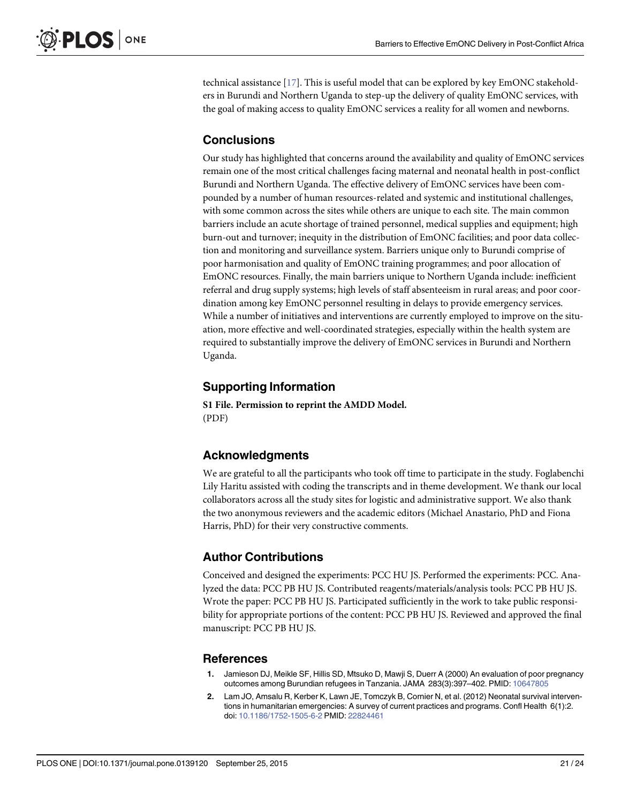<span id="page-20-0"></span>technical assistance [[17](#page-21-0)]. This is useful model that can be explored by key EmONC stakeholders in Burundi and Northern Uganda to step-up the delivery of quality EmONC services, with the goal of making access to quality EmONC services a reality for all women and newborns.

# **Conclusions**

Our study has highlighted that concerns around the availability and quality of EmONC services remain one of the most critical challenges facing maternal and neonatal health in post-conflict Burundi and Northern Uganda. The effective delivery of EmONC services have been compounded by a number of human resources-related and systemic and institutional challenges, with some common across the sites while others are unique to each site. The main common barriers include an acute shortage of trained personnel, medical supplies and equipment; high burn-out and turnover; inequity in the distribution of EmONC facilities; and poor data collection and monitoring and surveillance system. Barriers unique only to Burundi comprise of poor harmonisation and quality of EmONC training programmes; and poor allocation of EmONC resources. Finally, the main barriers unique to Northern Uganda include: inefficient referral and drug supply systems; high levels of staff absenteeism in rural areas; and poor coordination among key EmONC personnel resulting in delays to provide emergency services. While a number of initiatives and interventions are currently employed to improve on the situation, more effective and well-coordinated strategies, especially within the health system are required to substantially improve the delivery of EmONC services in Burundi and Northern Uganda.

# Supporting Information

[S1 File.](http://www.plosone.org/article/fetchSingleRepresentation.action?uri=info:doi/10.1371/journal.pone.0139120.s001) Permission to reprint the AMDD Model. (PDF)

# Acknowledgments

We are grateful to all the participants who took off time to participate in the study. Foglabenchi Lily Haritu assisted with coding the transcripts and in theme development. We thank our local collaborators across all the study sites for logistic and administrative support. We also thank the two anonymous reviewers and the academic editors (Michael Anastario, PhD and Fiona Harris, PhD) for their very constructive comments.

# Author Contributions

Conceived and designed the experiments: PCC HU JS. Performed the experiments: PCC. Analyzed the data: PCC PB HU JS. Contributed reagents/materials/analysis tools: PCC PB HU JS. Wrote the paper: PCC PB HU JS. Participated sufficiently in the work to take public responsibility for appropriate portions of the content: PCC PB HU JS. Reviewed and approved the final manuscript: PCC PB HU JS.

## References

- [1.](#page-1-0) Jamieson DJ, Meikle SF, Hillis SD, Mtsuko D, Mawji S, Duerr A (2000) An evaluation of poor pregnancy outcomes among Burundian refugees in Tanzania. JAMA 283(3):397–402. PMID: [10647805](http://www.ncbi.nlm.nih.gov/pubmed/10647805)
- [2.](#page-1-0) Lam JO, Amsalu R, Kerber K, Lawn JE, Tomczyk B, Cornier N, et al. (2012) Neonatal survival interventions in humanitarian emergencies: A survey of current practices and programs. Confl Health 6(1):2. doi: [10.1186/1752-1505-6-2](http://dx.doi.org/10.1186/1752-1505-6-2) PMID: [22824461](http://www.ncbi.nlm.nih.gov/pubmed/22824461)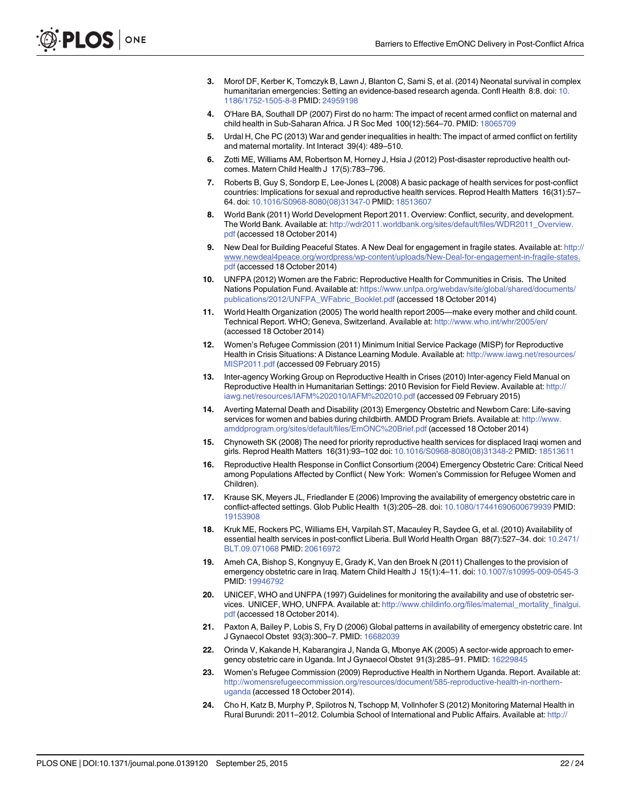- <span id="page-21-0"></span>[3.](#page-1-0) Morof DF, Kerber K, Tomczyk B, Lawn J, Blanton C, Sami S, et al. (2014) Neonatal survival in complex humanitarian emergencies: Setting an evidence-based research agenda. Confl Health 8:8. doi: [10.](http://dx.doi.org/10.1186/1752-1505-8-8) [1186/1752-1505-8-8](http://dx.doi.org/10.1186/1752-1505-8-8) PMID: [24959198](http://www.ncbi.nlm.nih.gov/pubmed/24959198)
- 4. O'Hare BA, Southall DP (2007) First do no harm: The impact of recent armed conflict on maternal and child health in Sub-Saharan Africa. J R Soc Med 100(12):564–70. PMID: [18065709](http://www.ncbi.nlm.nih.gov/pubmed/18065709)
- [5.](#page-1-0) Urdal H, Che PC (2013) War and gender inequalities in health: The impact of armed conflict on fertility and maternal mortality. Int Interact 39(4): 489–510.
- [6.](#page-1-0) Zotti ME, Williams AM, Robertson M, Horney J, Hsia J (2012) Post-disaster reproductive health outcomes. Matern Child Health J 17(5):783–796.
- [7.](#page-1-0) Roberts B, Guy S, Sondorp E, Lee-Jones L (2008) A basic package of health services for post-conflict countries: Implications for sexual and reproductive health services. Reprod Health Matters 16(31):57– 64. doi: [10.1016/S0968-8080\(08\)31347-0](http://dx.doi.org/10.1016/S0968-8080(08)31347-0) PMID: [18513607](http://www.ncbi.nlm.nih.gov/pubmed/18513607)
- [8.](#page-1-0) World Bank (2011) World Development Report 2011. Overview: Conflict, security, and development. The World Bank. Available at: [http://wdr2011.worldbank.org/sites/default/files/WDR2011\\_Overview.](http://wdr2011.worldbank.org/sites/default/files/WDR2011_Overview.pdf) [pdf](http://wdr2011.worldbank.org/sites/default/files/WDR2011_Overview.pdf) (accessed 18 October 2014)
- [9.](#page-1-0) New Deal for Building Peaceful States. A New Deal for engagement in fragile states. Available at: [http://](http://www.newdeal4peace.org/wordpress/wp-content/uploads/New-Deal-for-engagement-in-fragile-states.pdf) [www.newdeal4peace.org/wordpress/wp-content/uploads/New-Deal-for-engagement-in-fragile-states.](http://www.newdeal4peace.org/wordpress/wp-content/uploads/New-Deal-for-engagement-in-fragile-states.pdf) [pdf](http://www.newdeal4peace.org/wordpress/wp-content/uploads/New-Deal-for-engagement-in-fragile-states.pdf) (accessed 18 October 2014)
- [10.](#page-1-0) UNFPA (2012) Women are the Fabric: Reproductive Health for Communities in Crisis. The United Nations Population Fund. Available at: [https://www.unfpa.org/webdav/site/global/shared/documents/](https://www.unfpa.org/webdav/site/global/shared/documents/publications/2012/UNFPA_WFabric_Booklet.pdf) [publications/2012/UNFPA\\_WFabric\\_Booklet.pdf](https://www.unfpa.org/webdav/site/global/shared/documents/publications/2012/UNFPA_WFabric_Booklet.pdf) (accessed 18 October 2014)
- [11.](#page-1-0) World Health Organization (2005) The world health report 2005—make every mother and child count. Technical Report. WHO; Geneva, Switzerland. Available at: <http://www.who.int/whr/2005/en/> (accessed 18 October 2014)
- [12.](#page-1-0) Women's Refugee Commission (2011) Minimum Initial Service Package (MISP) for Reproductive Health in Crisis Situations: A Distance Learning Module. Available at: [http://www.iawg.net/resources/](http://www.iawg.net/resources/MISP2011.pdf) [MISP2011.pdf](http://www.iawg.net/resources/MISP2011.pdf) (accessed 09 February 2015)
- [13.](#page-1-0) Inter-agency Working Group on Reproductive Health in Crises (2010) Inter-agency Field Manual on Reproductive Health in Humanitarian Settings: 2010 Revision for Field Review. Available at: [http://](http://iawg.net/resources/IAFM%202010/IAFM%202010.pdf) [iawg.net/resources/IAFM%202010/IAFM%202010.pdf](http://iawg.net/resources/IAFM%202010/IAFM%202010.pdf) (accessed 09 February 2015)
- [14.](#page-2-0) Averting Maternal Death and Disability (2013) Emergency Obstetric and Newborn Care: Life-saving services for women and babies during childbirth. AMDD Program Briefs. Available at: [http://www.](http://www.amddprogram.org/sites/default/files/EmONC%20Brief.pdf) [amddprogram.org/sites/default/files/EmONC%20Brief.pdf](http://www.amddprogram.org/sites/default/files/EmONC%20Brief.pdf) (accessed 18 October 2014)
- [15.](#page-2-0) Chynoweth SK (2008) The need for priority reproductive health services for displaced Iraqi women and girls. Reprod Health Matters 16(31):93–102 doi: [10.1016/S0968-8080\(08\)31348-2](http://dx.doi.org/10.1016/S0968-8080(08)31348-2) PMID: [18513611](http://www.ncbi.nlm.nih.gov/pubmed/18513611)
- [16.](#page-16-0) Reproductive Health Response in Conflict Consortium (2004) Emergency Obstetric Care: Critical Need among Populations Affected by Conflict ( New York: Women's Commission for Refugee Women and Children).
- [17.](#page-20-0) Krause SK, Meyers JL, Friedlander E (2006) Improving the availability of emergency obstetric care in conflict-affected settings. Glob Public Health 1(3):205–28. doi: [10.1080/17441690600679939](http://dx.doi.org/10.1080/17441690600679939) PMID: [19153908](http://www.ncbi.nlm.nih.gov/pubmed/19153908)
- [18.](#page-2-0) Kruk ME, Rockers PC, Williams EH, Varpilah ST, Macauley R, Saydee G, et al. (2010) Availability of essential health services in post-conflict Liberia. Bull World Health Organ 88(7):527–34. doi: [10.2471/](http://dx.doi.org/10.2471/BLT.09.071068) [BLT.09.071068](http://dx.doi.org/10.2471/BLT.09.071068) PMID: [20616972](http://www.ncbi.nlm.nih.gov/pubmed/20616972)
- [19.](#page-2-0) Ameh CA, Bishop S, Kongnyuy E, Grady K, Van den Broek N (2011) Challenges to the provision of emergency obstetric care in Iraq. Matern Child Health J 15(1):4–11. doi: [10.1007/s10995-009-0545-3](http://dx.doi.org/10.1007/s10995-009-0545-3) PMID: [19946792](http://www.ncbi.nlm.nih.gov/pubmed/19946792)
- [20.](#page-2-0) UNICEF, WHO and UNFPA (1997) Guidelines for monitoring the availability and use of obstetric services. UNICEF, WHO, UNFPA. Available at: [http://www.childinfo.org/files/maternal\\_mortality\\_finalgui.](http://www.childinfo.org/files/maternal_mortality_finalgui.pdf) [pdf](http://www.childinfo.org/files/maternal_mortality_finalgui.pdf) (accessed 18 October 2014).
- [21.](#page-2-0) Paxton A, Bailey P, Lobis S, Fry D (2006) Global patterns in availability of emergency obstetric care. Int J Gynaecol Obstet 93(3):300–7. PMID: [16682039](http://www.ncbi.nlm.nih.gov/pubmed/16682039)
- [22.](#page-2-0) Orinda V, Kakande H, Kabarangira J, Nanda G, Mbonye AK (2005) A sector-wide approach to emer-gency obstetric care in Uganda. Int J Gynaecol Obstet 91(3):285-91. PMID: [16229845](http://www.ncbi.nlm.nih.gov/pubmed/16229845)
- [23.](#page-2-0) Women's Refugee Commission (2009) Reproductive Health in Northern Uganda. Report. Available at: [http://womensrefugeecommission.org/resources/document/585-reproductive-health-in-northern](http://womensrefugeecommission.org/resources/document/585-reproductive-health-in-northern-uganda)[uganda](http://womensrefugeecommission.org/resources/document/585-reproductive-health-in-northern-uganda) (accessed 18 October 2014).
- [24.](#page-2-0) Cho H, Katz B, Murphy P, Spilotros N, Tschopp M, Vollnhofer S (2012) Monitoring Maternal Health in Rural Burundi: 2011–2012. Columbia School of International and Public Affairs. Available at: [http://](http://new.sipa.columbia.edu/sites/default/files/VHW_MonitoringMaternalHealthinRuralBurundi_16July2012_0.pdf)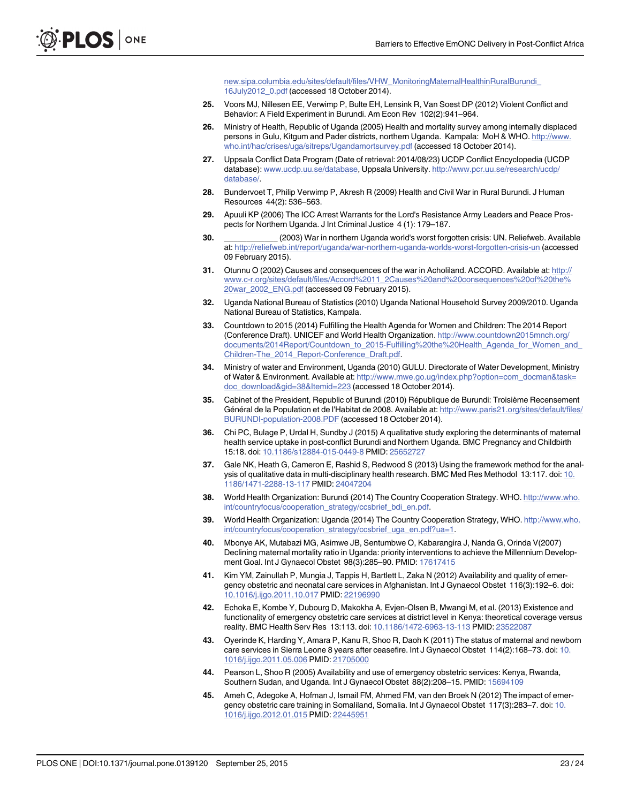[new.sipa.columbia.edu/sites/default/files/VHW\\_MonitoringMaternalHealthinRuralBurundi\\_](http://new.sipa.columbia.edu/sites/default/files/VHW_MonitoringMaternalHealthinRuralBurundi_16July2012_0.pdf) [16July2012\\_0.pdf](http://new.sipa.columbia.edu/sites/default/files/VHW_MonitoringMaternalHealthinRuralBurundi_16July2012_0.pdf) (accessed 18 October 2014).

- <span id="page-22-0"></span>[25.](#page-2-0) Voors MJ, Nillesen EE, Verwimp P, Bulte EH, Lensink R, Van Soest DP (2012) Violent Conflict and Behavior: A Field Experiment in Burundi. Am Econ Rev 102(2):941–964.
- 26. Ministry of Health, Republic of Uganda (2005) Health and mortality survey among internally displaced persons in Gulu, Kitgum and Pader districts, northern Uganda. Kampala: MoH & WHO. [http://www.](http://www.who.int/hac/crises/uga/sitreps/Ugandamortsurvey.pdf) [who.int/hac/crises/uga/sitreps/Ugandamortsurvey.pdf](http://www.who.int/hac/crises/uga/sitreps/Ugandamortsurvey.pdf) (accessed 18 October 2014).
- [27.](#page-2-0) Uppsala Conflict Data Program (Date of retrieval: 2014/08/23) UCDP Conflict Encyclopedia (UCDP database): [www.ucdp.uu.se/database,](http://www.ucdp.uu.se/database) Uppsala University. [http://www.pcr.uu.se/research/ucdp/](http://www.pcr.uu.se/research/ucdp/database/) [database/.](http://www.pcr.uu.se/research/ucdp/database/)
- [28.](#page-2-0) Bundervoet T, Philip Verwimp P, Akresh R (2009) Health and Civil War in Rural Burundi. J Human Resources 44(2): 536–563.
- [29.](#page-2-0) Apuuli KP (2006) The ICC Arrest Warrants for the Lord's Resistance Army Leaders and Peace Prospects for Northern Uganda. J Int Criminal Justice 4 (1): 179–187.
- [30.](#page-2-0) \_\_\_\_\_\_\_\_\_\_\_\_ (2003) War in northern Uganda world's worst forgotten crisis: UN. Reliefweb. Available at: <http://reliefweb.int/report/uganda/war-northern-uganda-worlds-worst-forgotten-crisis-un> (accessed 09 February 2015).
- [31.](#page-2-0) Otunnu O (2002) Causes and consequences of the war in Acholiland. ACCORD. Available at: [http://](http://www.c-r.org/sites/default/files/Accord%2011_2Causes%20and%20consequences%20of%20the%20war_2002_ENG.pdf) [www.c-r.org/sites/default/files/Accord%2011\\_2Causes%20and%20consequences%20of%20the%](http://www.c-r.org/sites/default/files/Accord%2011_2Causes%20and%20consequences%20of%20the%20war_2002_ENG.pdf) [20war\\_2002\\_ENG.pdf](http://www.c-r.org/sites/default/files/Accord%2011_2Causes%20and%20consequences%20of%20the%20war_2002_ENG.pdf) (accessed 09 February 2015).
- [32.](#page-2-0) Uganda National Bureau of Statistics (2010) Uganda National Household Survey 2009/2010. Uganda National Bureau of Statistics, Kampala.
- [33.](#page-2-0) Countdown to 2015 (2014) Fulfilling the Health Agenda for Women and Children: The 2014 Report (Conference Draft). UNICEF and World Health Organization. [http://www.countdown2015mnch.org/](http://www.countdown2015mnch.org/documents/2014Report/Countdown_to_2015-Fulfilling%20the%20Health_Agenda_for_Women_and_Children-The_2014_Report-Conference_Draft.pdf) [documents/2014Report/Countdown\\_to\\_2015-Fulfilling%20the%20Health\\_Agenda\\_for\\_Women\\_and\\_](http://www.countdown2015mnch.org/documents/2014Report/Countdown_to_2015-Fulfilling%20the%20Health_Agenda_for_Women_and_Children-The_2014_Report-Conference_Draft.pdf) [Children-The\\_2014\\_Report-Conference\\_Draft.pdf.](http://www.countdown2015mnch.org/documents/2014Report/Countdown_to_2015-Fulfilling%20the%20Health_Agenda_for_Women_and_Children-The_2014_Report-Conference_Draft.pdf)
- [34.](#page-4-0) Ministry of water and Environment, Uganda (2010) GULU. Directorate of Water Development, Ministry of Water & Environment. Available at: [http://www.mwe.go.ug/index.php?option=com\\_docman&task=](http://www.mwe.go.ug/index.php?option=com_docman&task=doc_download&gid=38&Itemid=223) [doc\\_download&gid=38&Itemid=223](http://www.mwe.go.ug/index.php?option=com_docman&task=doc_download&gid=38&Itemid=223) (accessed 18 October 2014).
- [35.](#page-4-0) Cabinet of the President, Republic of Burundi (2010) République de Burundi: Troisième Recensement Général de la Population et de l'Habitat de 2008. Available at: [http://www.paris21.org/sites/default/files/](http://www.paris21.org/sites/default/files/BURUNDI-population-2008.PDF) [BURUNDI-population-2008.PDF](http://www.paris21.org/sites/default/files/BURUNDI-population-2008.PDF) (accessed 18 October 2014).
- [36.](#page-4-0) Chi PC, Bulage P, Urdal H, Sundby J (2015) A qualitative study exploring the determinants of maternal health service uptake in post-conflict Burundi and Northern Uganda. BMC Pregnancy and Childbirth 15:18. doi: [10.1186/s12884-015-0449-8](http://dx.doi.org/10.1186/s12884-015-0449-8) PMID: [25652727](http://www.ncbi.nlm.nih.gov/pubmed/25652727)
- [37.](#page-5-0) Gale NK, Heath G, Cameron E, Rashid S, Redwood S (2013) Using the framework method for the anal-ysis of qualitative data in multi-disciplinary health research. BMC Med Res Methodol 13:117. doi: [10.](http://dx.doi.org/10.1186/1471-2288-13-117) [1186/1471-2288-13-117](http://dx.doi.org/10.1186/1471-2288-13-117) PMID: [24047204](http://www.ncbi.nlm.nih.gov/pubmed/24047204)
- [38.](#page-15-0) World Health Organization: Burundi (2014) The Country Cooperation Strategy. WHO. [http://www.who.](http://www.who.int/countryfocus/cooperation_strategy/ccsbrief_bdi_en.pdf) [int/countryfocus/cooperation\\_strategy/ccsbrief\\_bdi\\_en.pdf.](http://www.who.int/countryfocus/cooperation_strategy/ccsbrief_bdi_en.pdf)
- [39.](#page-15-0) World Health Organization: Uganda (2014) The Country Cooperation Strategy, WHO. [http://www.who.](http://www.who.int/countryfocus/cooperation_strategy/ccsbrief_uga_en.pdf?ua=1) [int/countryfocus/cooperation\\_strategy/ccsbrief\\_uga\\_en.pdf?ua=1.](http://www.who.int/countryfocus/cooperation_strategy/ccsbrief_uga_en.pdf?ua=1)
- [40.](#page-15-0) Mbonye AK, Mutabazi MG, Asimwe JB, Sentumbwe O, Kabarangira J, Nanda G, Orinda V(2007) Declining maternal mortality ratio in Uganda: priority interventions to achieve the Millennium Development Goal. Int J Gynaecol Obstet 98(3):285–90. PMID: [17617415](http://www.ncbi.nlm.nih.gov/pubmed/17617415)
- [41.](#page-15-0) Kim YM, Zainullah P, Mungia J, Tappis H, Bartlett L, Zaka N (2012) Availability and quality of emergency obstetric and neonatal care services in Afghanistan. Int J Gynaecol Obstet 116(3):192–6. doi: [10.1016/j.ijgo.2011.10.017](http://dx.doi.org/10.1016/j.ijgo.2011.10.017) PMID: [22196990](http://www.ncbi.nlm.nih.gov/pubmed/22196990)
- [42.](#page-15-0) Echoka E, Kombe Y, Dubourg D, Makokha A, Evjen-Olsen B, Mwangi M, et al. (2013) Existence and functionality of emergency obstetric care services at district level in Kenya: theoretical coverage versus reality. BMC Health Serv Res 13:113. doi: [10.1186/1472-6963-13-113](http://dx.doi.org/10.1186/1472-6963-13-113) PMID: [23522087](http://www.ncbi.nlm.nih.gov/pubmed/23522087)
- [43.](#page-16-0) Oyerinde K, Harding Y, Amara P, Kanu R, Shoo R, Daoh K (2011) The status of maternal and newborn care services in Sierra Leone 8 years after ceasefire. Int J Gynaecol Obstet 114(2):168–73. doi: [10.](http://dx.doi.org/10.1016/j.ijgo.2011.05.006) [1016/j.ijgo.2011.05.006](http://dx.doi.org/10.1016/j.ijgo.2011.05.006) PMID: [21705000](http://www.ncbi.nlm.nih.gov/pubmed/21705000)
- [44.](#page-16-0) Pearson L, Shoo R (2005) Availability and use of emergency obstetric services: Kenya, Rwanda, Southern Sudan, and Uganda. Int J Gynaecol Obstet 88(2):208–15. PMID: [15694109](http://www.ncbi.nlm.nih.gov/pubmed/15694109)
- [45.](#page-16-0) Ameh C, Adegoke A, Hofman J, Ismail FM, Ahmed FM, van den Broek N (2012) The impact of emergency obstetric care training in Somaliland, Somalia. Int J Gynaecol Obstet 117(3):283–7. doi: [10.](http://dx.doi.org/10.1016/j.ijgo.2012.01.015) [1016/j.ijgo.2012.01.015](http://dx.doi.org/10.1016/j.ijgo.2012.01.015) PMID: [22445951](http://www.ncbi.nlm.nih.gov/pubmed/22445951)